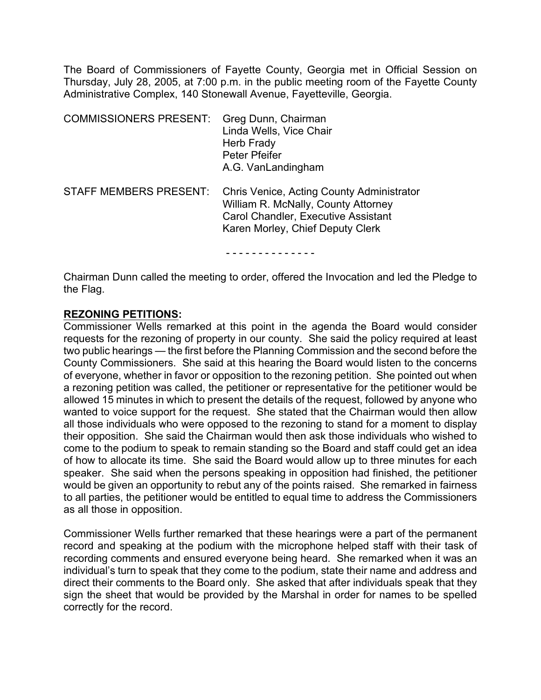The Board of Commissioners of Fayette County, Georgia met in Official Session on Thursday, July 28, 2005, at 7:00 p.m. in the public meeting room of the Fayette County Administrative Complex, 140 Stonewall Avenue, Fayetteville, Georgia.

| <b>COMMISSIONERS PRESENT:</b> | Greg Dunn, Chairman<br>Linda Wells, Vice Chair<br>Herb Frady<br>Peter Pfeifer<br>A.G. VanLandingham                                                         |
|-------------------------------|-------------------------------------------------------------------------------------------------------------------------------------------------------------|
| <b>STAFF MEMBERS PRESENT:</b> | Chris Venice, Acting County Administrator<br>William R. McNally, County Attorney<br>Carol Chandler, Executive Assistant<br>Karen Morley, Chief Deputy Clerk |
|                               |                                                                                                                                                             |

Chairman Dunn called the meeting to order, offered the Invocation and led the Pledge to the Flag.

#### **REZONING PETITIONS:**

Commissioner Wells remarked at this point in the agenda the Board would consider requests for the rezoning of property in our county. She said the policy required at least two public hearings — the first before the Planning Commission and the second before the County Commissioners. She said at this hearing the Board would listen to the concerns of everyone, whether in favor or opposition to the rezoning petition. She pointed out when a rezoning petition was called, the petitioner or representative for the petitioner would be allowed 15 minutes in which to present the details of the request, followed by anyone who wanted to voice support for the request. She stated that the Chairman would then allow all those individuals who were opposed to the rezoning to stand for a moment to display their opposition. She said the Chairman would then ask those individuals who wished to come to the podium to speak to remain standing so the Board and staff could get an idea of how to allocate its time. She said the Board would allow up to three minutes for each speaker. She said when the persons speaking in opposition had finished, the petitioner would be given an opportunity to rebut any of the points raised. She remarked in fairness to all parties, the petitioner would be entitled to equal time to address the Commissioners as all those in opposition.

Commissioner Wells further remarked that these hearings were a part of the permanent record and speaking at the podium with the microphone helped staff with their task of recording comments and ensured everyone being heard. She remarked when it was an individual's turn to speak that they come to the podium, state their name and address and direct their comments to the Board only. She asked that after individuals speak that they sign the sheet that would be provided by the Marshal in order for names to be spelled correctly for the record.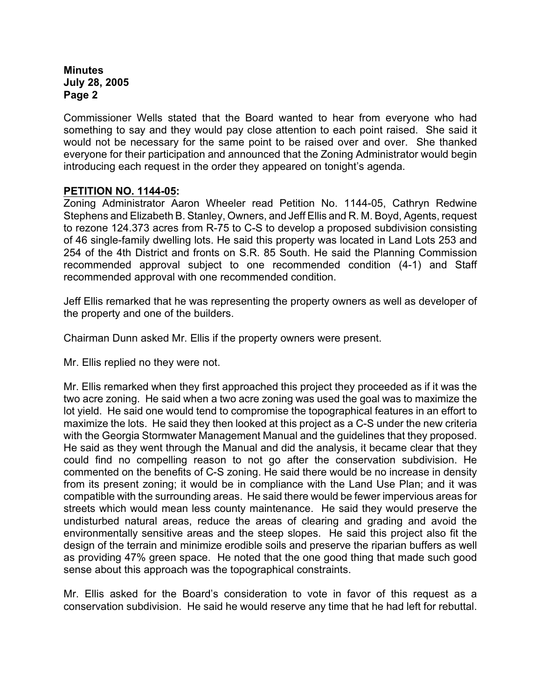Commissioner Wells stated that the Board wanted to hear from everyone who had something to say and they would pay close attention to each point raised. She said it would not be necessary for the same point to be raised over and over. She thanked everyone for their participation and announced that the Zoning Administrator would begin introducing each request in the order they appeared on tonight's agenda.

## **PETITION NO. 1144-05:**

Zoning Administrator Aaron Wheeler read Petition No. 1144-05, Cathryn Redwine Stephens and Elizabeth B. Stanley, Owners, and Jeff Ellis and R. M. Boyd, Agents, request to rezone 124.373 acres from R-75 to C-S to develop a proposed subdivision consisting of 46 single-family dwelling lots. He said this property was located in Land Lots 253 and 254 of the 4th District and fronts on S.R. 85 South. He said the Planning Commission recommended approval subject to one recommended condition (4-1) and Staff recommended approval with one recommended condition.

Jeff Ellis remarked that he was representing the property owners as well as developer of the property and one of the builders.

Chairman Dunn asked Mr. Ellis if the property owners were present.

Mr. Ellis replied no they were not.

Mr. Ellis remarked when they first approached this project they proceeded as if it was the two acre zoning. He said when a two acre zoning was used the goal was to maximize the lot yield. He said one would tend to compromise the topographical features in an effort to maximize the lots. He said they then looked at this project as a C-S under the new criteria with the Georgia Stormwater Management Manual and the guidelines that they proposed. He said as they went through the Manual and did the analysis, it became clear that they could find no compelling reason to not go after the conservation subdivision. He commented on the benefits of C-S zoning. He said there would be no increase in density from its present zoning; it would be in compliance with the Land Use Plan; and it was compatible with the surrounding areas. He said there would be fewer impervious areas for streets which would mean less county maintenance. He said they would preserve the undisturbed natural areas, reduce the areas of clearing and grading and avoid the environmentally sensitive areas and the steep slopes. He said this project also fit the design of the terrain and minimize erodible soils and preserve the riparian buffers as well as providing 47% green space. He noted that the one good thing that made such good sense about this approach was the topographical constraints.

Mr. Ellis asked for the Board's consideration to vote in favor of this request as a conservation subdivision. He said he would reserve any time that he had left for rebuttal.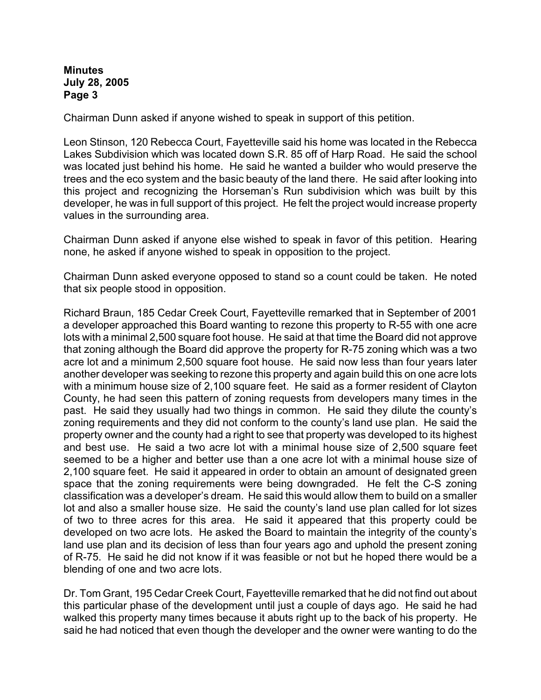Chairman Dunn asked if anyone wished to speak in support of this petition.

Leon Stinson, 120 Rebecca Court, Fayetteville said his home was located in the Rebecca Lakes Subdivision which was located down S.R. 85 off of Harp Road. He said the school was located just behind his home. He said he wanted a builder who would preserve the trees and the eco system and the basic beauty of the land there. He said after looking into this project and recognizing the Horseman's Run subdivision which was built by this developer, he was in full support of this project. He felt the project would increase property values in the surrounding area.

Chairman Dunn asked if anyone else wished to speak in favor of this petition. Hearing none, he asked if anyone wished to speak in opposition to the project.

Chairman Dunn asked everyone opposed to stand so a count could be taken. He noted that six people stood in opposition.

Richard Braun, 185 Cedar Creek Court, Fayetteville remarked that in September of 2001 a developer approached this Board wanting to rezone this property to R-55 with one acre lots with a minimal 2,500 square foot house. He said at that time the Board did not approve that zoning although the Board did approve the property for R-75 zoning which was a two acre lot and a minimum 2,500 square foot house. He said now less than four years later another developer was seeking to rezone this property and again build this on one acre lots with a minimum house size of 2,100 square feet. He said as a former resident of Clayton County, he had seen this pattern of zoning requests from developers many times in the past. He said they usually had two things in common. He said they dilute the county's zoning requirements and they did not conform to the county's land use plan. He said the property owner and the county had a right to see that property was developed to its highest and best use. He said a two acre lot with a minimal house size of 2,500 square feet seemed to be a higher and better use than a one acre lot with a minimal house size of 2,100 square feet. He said it appeared in order to obtain an amount of designated green space that the zoning requirements were being downgraded. He felt the C-S zoning classification was a developer's dream. He said this would allow them to build on a smaller lot and also a smaller house size. He said the county's land use plan called for lot sizes of two to three acres for this area. He said it appeared that this property could be developed on two acre lots. He asked the Board to maintain the integrity of the county's land use plan and its decision of less than four years ago and uphold the present zoning of R-75. He said he did not know if it was feasible or not but he hoped there would be a blending of one and two acre lots.

Dr. Tom Grant, 195 Cedar Creek Court, Fayetteville remarked that he did not find out about this particular phase of the development until just a couple of days ago. He said he had walked this property many times because it abuts right up to the back of his property. He said he had noticed that even though the developer and the owner were wanting to do the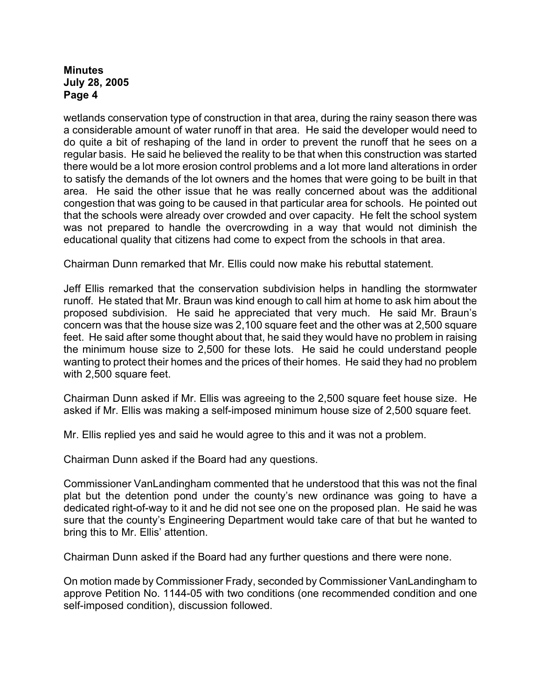wetlands conservation type of construction in that area, during the rainy season there was a considerable amount of water runoff in that area. He said the developer would need to do quite a bit of reshaping of the land in order to prevent the runoff that he sees on a regular basis. He said he believed the reality to be that when this construction was started there would be a lot more erosion control problems and a lot more land alterations in order to satisfy the demands of the lot owners and the homes that were going to be built in that area. He said the other issue that he was really concerned about was the additional congestion that was going to be caused in that particular area for schools. He pointed out that the schools were already over crowded and over capacity. He felt the school system was not prepared to handle the overcrowding in a way that would not diminish the educational quality that citizens had come to expect from the schools in that area.

Chairman Dunn remarked that Mr. Ellis could now make his rebuttal statement.

Jeff Ellis remarked that the conservation subdivision helps in handling the stormwater runoff. He stated that Mr. Braun was kind enough to call him at home to ask him about the proposed subdivision. He said he appreciated that very much. He said Mr. Braun's concern was that the house size was 2,100 square feet and the other was at 2,500 square feet. He said after some thought about that, he said they would have no problem in raising the minimum house size to 2,500 for these lots. He said he could understand people wanting to protect their homes and the prices of their homes. He said they had no problem with 2,500 square feet.

Chairman Dunn asked if Mr. Ellis was agreeing to the 2,500 square feet house size. He asked if Mr. Ellis was making a self-imposed minimum house size of 2,500 square feet.

Mr. Ellis replied yes and said he would agree to this and it was not a problem.

Chairman Dunn asked if the Board had any questions.

Commissioner VanLandingham commented that he understood that this was not the final plat but the detention pond under the county's new ordinance was going to have a dedicated right-of-way to it and he did not see one on the proposed plan. He said he was sure that the county's Engineering Department would take care of that but he wanted to bring this to Mr. Ellis' attention.

Chairman Dunn asked if the Board had any further questions and there were none.

On motion made by Commissioner Frady, seconded by Commissioner VanLandingham to approve Petition No. 1144-05 with two conditions (one recommended condition and one self-imposed condition), discussion followed.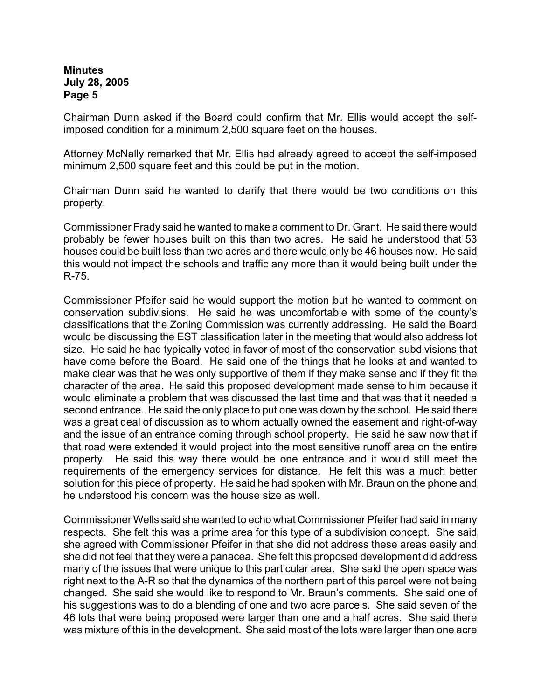Chairman Dunn asked if the Board could confirm that Mr. Ellis would accept the selfimposed condition for a minimum 2,500 square feet on the houses.

Attorney McNally remarked that Mr. Ellis had already agreed to accept the self-imposed minimum 2,500 square feet and this could be put in the motion.

Chairman Dunn said he wanted to clarify that there would be two conditions on this property.

Commissioner Frady said he wanted to make a comment to Dr. Grant. He said there would probably be fewer houses built on this than two acres. He said he understood that 53 houses could be built less than two acres and there would only be 46 houses now. He said this would not impact the schools and traffic any more than it would being built under the R-75.

Commissioner Pfeifer said he would support the motion but he wanted to comment on conservation subdivisions. He said he was uncomfortable with some of the county's classifications that the Zoning Commission was currently addressing. He said the Board would be discussing the EST classification later in the meeting that would also address lot size. He said he had typically voted in favor of most of the conservation subdivisions that have come before the Board. He said one of the things that he looks at and wanted to make clear was that he was only supportive of them if they make sense and if they fit the character of the area. He said this proposed development made sense to him because it would eliminate a problem that was discussed the last time and that was that it needed a second entrance. He said the only place to put one was down by the school. He said there was a great deal of discussion as to whom actually owned the easement and right-of-way and the issue of an entrance coming through school property. He said he saw now that if that road were extended it would project into the most sensitive runoff area on the entire property. He said this way there would be one entrance and it would still meet the requirements of the emergency services for distance. He felt this was a much better solution for this piece of property. He said he had spoken with Mr. Braun on the phone and he understood his concern was the house size as well.

Commissioner Wells said she wanted to echo what Commissioner Pfeifer had said in many respects. She felt this was a prime area for this type of a subdivision concept. She said she agreed with Commissioner Pfeifer in that she did not address these areas easily and she did not feel that they were a panacea. She felt this proposed development did address many of the issues that were unique to this particular area. She said the open space was right next to the A-R so that the dynamics of the northern part of this parcel were not being changed. She said she would like to respond to Mr. Braun's comments. She said one of his suggestions was to do a blending of one and two acre parcels. She said seven of the 46 lots that were being proposed were larger than one and a half acres. She said there was mixture of this in the development. She said most of the lots were larger than one acre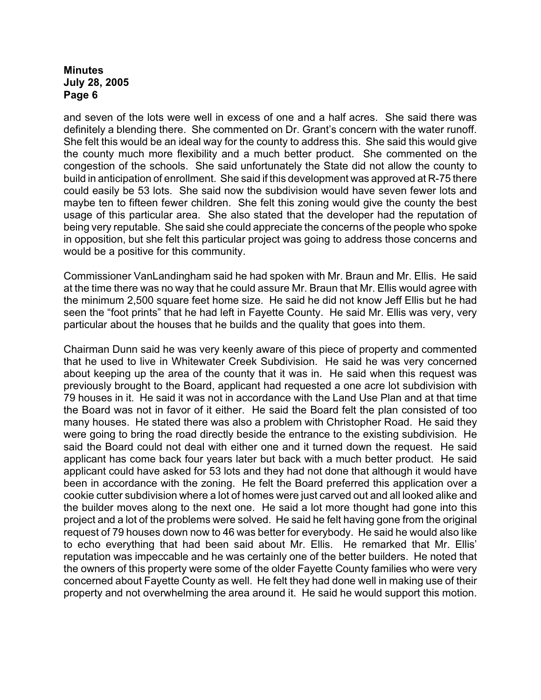and seven of the lots were well in excess of one and a half acres. She said there was definitely a blending there. She commented on Dr. Grant's concern with the water runoff. She felt this would be an ideal way for the county to address this. She said this would give the county much more flexibility and a much better product. She commented on the congestion of the schools. She said unfortunately the State did not allow the county to build in anticipation of enrollment. She said if this development was approved at R-75 there could easily be 53 lots. She said now the subdivision would have seven fewer lots and maybe ten to fifteen fewer children. She felt this zoning would give the county the best usage of this particular area. She also stated that the developer had the reputation of being very reputable. She said she could appreciate the concerns of the people who spoke in opposition, but she felt this particular project was going to address those concerns and would be a positive for this community.

Commissioner VanLandingham said he had spoken with Mr. Braun and Mr. Ellis. He said at the time there was no way that he could assure Mr. Braun that Mr. Ellis would agree with the minimum 2,500 square feet home size. He said he did not know Jeff Ellis but he had seen the "foot prints" that he had left in Fayette County. He said Mr. Ellis was very, very particular about the houses that he builds and the quality that goes into them.

Chairman Dunn said he was very keenly aware of this piece of property and commented that he used to live in Whitewater Creek Subdivision. He said he was very concerned about keeping up the area of the county that it was in. He said when this request was previously brought to the Board, applicant had requested a one acre lot subdivision with 79 houses in it. He said it was not in accordance with the Land Use Plan and at that time the Board was not in favor of it either. He said the Board felt the plan consisted of too many houses. He stated there was also a problem with Christopher Road. He said they were going to bring the road directly beside the entrance to the existing subdivision. He said the Board could not deal with either one and it turned down the request. He said applicant has come back four years later but back with a much better product. He said applicant could have asked for 53 lots and they had not done that although it would have been in accordance with the zoning. He felt the Board preferred this application over a cookie cutter subdivision where a lot of homes were just carved out and all looked alike and the builder moves along to the next one. He said a lot more thought had gone into this project and a lot of the problems were solved. He said he felt having gone from the original request of 79 houses down now to 46 was better for everybody. He said he would also like to echo everything that had been said about Mr. Ellis. He remarked that Mr. Ellis' reputation was impeccable and he was certainly one of the better builders. He noted that the owners of this property were some of the older Fayette County families who were very concerned about Fayette County as well. He felt they had done well in making use of their property and not overwhelming the area around it. He said he would support this motion.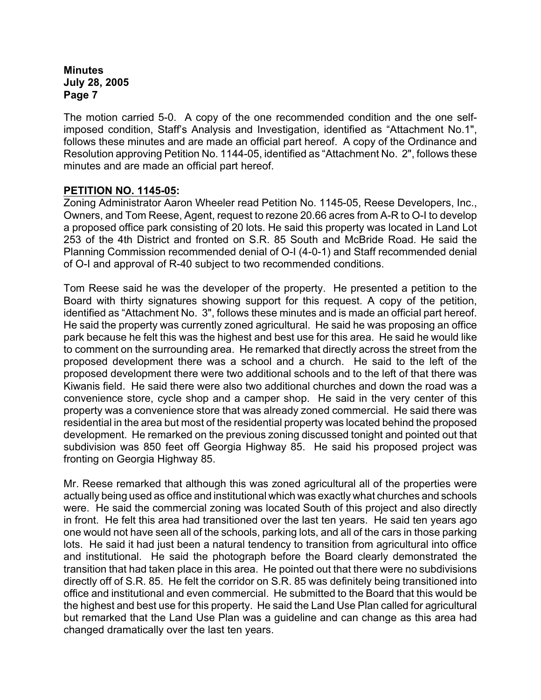The motion carried 5-0. A copy of the one recommended condition and the one selfimposed condition, Staff's Analysis and Investigation, identified as "Attachment No.1", follows these minutes and are made an official part hereof. A copy of the Ordinance and Resolution approving Petition No. 1144-05, identified as "Attachment No. 2", follows these minutes and are made an official part hereof.

## **PETITION NO. 1145-05:**

Zoning Administrator Aaron Wheeler read Petition No. 1145-05, Reese Developers, Inc., Owners, and Tom Reese, Agent, request to rezone 20.66 acres from A-R to O-I to develop a proposed office park consisting of 20 lots. He said this property was located in Land Lot 253 of the 4th District and fronted on S.R. 85 South and McBride Road. He said the Planning Commission recommended denial of O-I (4-0-1) and Staff recommended denial of O-I and approval of R-40 subject to two recommended conditions.

Tom Reese said he was the developer of the property. He presented a petition to the Board with thirty signatures showing support for this request. A copy of the petition, identified as "Attachment No. 3", follows these minutes and is made an official part hereof. He said the property was currently zoned agricultural. He said he was proposing an office park because he felt this was the highest and best use for this area. He said he would like to comment on the surrounding area. He remarked that directly across the street from the proposed development there was a school and a church. He said to the left of the proposed development there were two additional schools and to the left of that there was Kiwanis field. He said there were also two additional churches and down the road was a convenience store, cycle shop and a camper shop. He said in the very center of this property was a convenience store that was already zoned commercial. He said there was residential in the area but most of the residential property was located behind the proposed development. He remarked on the previous zoning discussed tonight and pointed out that subdivision was 850 feet off Georgia Highway 85. He said his proposed project was fronting on Georgia Highway 85.

Mr. Reese remarked that although this was zoned agricultural all of the properties were actually being used as office and institutional which was exactly what churches and schools were. He said the commercial zoning was located South of this project and also directly in front. He felt this area had transitioned over the last ten years. He said ten years ago one would not have seen all of the schools, parking lots, and all of the cars in those parking lots. He said it had just been a natural tendency to transition from agricultural into office and institutional. He said the photograph before the Board clearly demonstrated the transition that had taken place in this area. He pointed out that there were no subdivisions directly off of S.R. 85. He felt the corridor on S.R. 85 was definitely being transitioned into office and institutional and even commercial. He submitted to the Board that this would be the highest and best use for this property. He said the Land Use Plan called for agricultural but remarked that the Land Use Plan was a guideline and can change as this area had changed dramatically over the last ten years.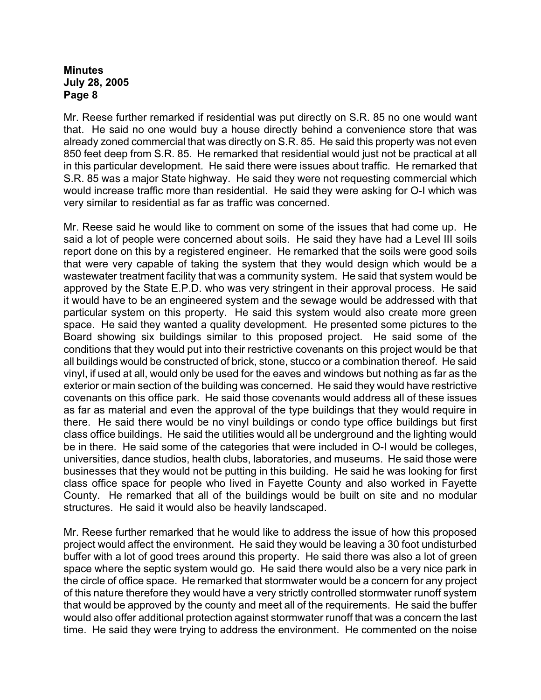Mr. Reese further remarked if residential was put directly on S.R. 85 no one would want that. He said no one would buy a house directly behind a convenience store that was already zoned commercial that was directly on S.R. 85. He said this property was not even 850 feet deep from S.R. 85. He remarked that residential would just not be practical at all in this particular development. He said there were issues about traffic. He remarked that S.R. 85 was a major State highway. He said they were not requesting commercial which would increase traffic more than residential. He said they were asking for O-I which was very similar to residential as far as traffic was concerned.

Mr. Reese said he would like to comment on some of the issues that had come up. He said a lot of people were concerned about soils. He said they have had a Level III soils report done on this by a registered engineer. He remarked that the soils were good soils that were very capable of taking the system that they would design which would be a wastewater treatment facility that was a community system. He said that system would be approved by the State E.P.D. who was very stringent in their approval process. He said it would have to be an engineered system and the sewage would be addressed with that particular system on this property. He said this system would also create more green space. He said they wanted a quality development. He presented some pictures to the Board showing six buildings similar to this proposed project. He said some of the conditions that they would put into their restrictive covenants on this project would be that all buildings would be constructed of brick, stone, stucco or a combination thereof. He said vinyl, if used at all, would only be used for the eaves and windows but nothing as far as the exterior or main section of the building was concerned. He said they would have restrictive covenants on this office park. He said those covenants would address all of these issues as far as material and even the approval of the type buildings that they would require in there. He said there would be no vinyl buildings or condo type office buildings but first class office buildings. He said the utilities would all be underground and the lighting would be in there. He said some of the categories that were included in O-I would be colleges, universities, dance studios, health clubs, laboratories, and museums. He said those were businesses that they would not be putting in this building. He said he was looking for first class office space for people who lived in Fayette County and also worked in Fayette County. He remarked that all of the buildings would be built on site and no modular structures. He said it would also be heavily landscaped.

Mr. Reese further remarked that he would like to address the issue of how this proposed project would affect the environment. He said they would be leaving a 30 foot undisturbed buffer with a lot of good trees around this property. He said there was also a lot of green space where the septic system would go. He said there would also be a very nice park in the circle of office space. He remarked that stormwater would be a concern for any project of this nature therefore they would have a very strictly controlled stormwater runoff system that would be approved by the county and meet all of the requirements. He said the buffer would also offer additional protection against stormwater runoff that was a concern the last time. He said they were trying to address the environment. He commented on the noise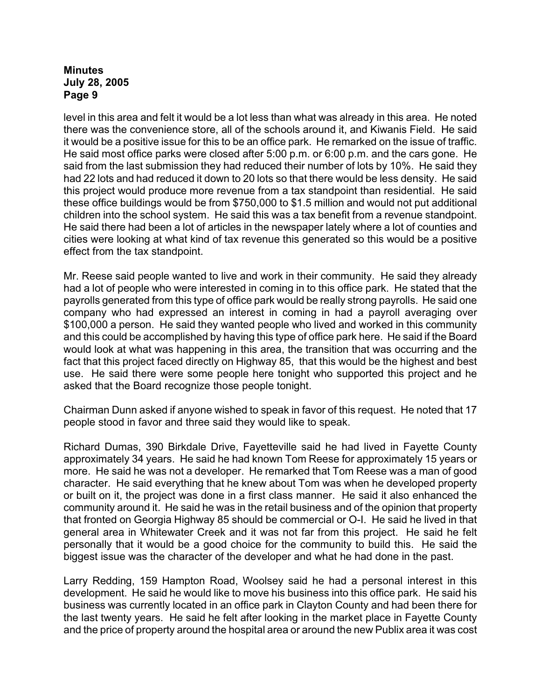level in this area and felt it would be a lot less than what was already in this area. He noted there was the convenience store, all of the schools around it, and Kiwanis Field. He said it would be a positive issue for this to be an office park. He remarked on the issue of traffic. He said most office parks were closed after 5:00 p.m. or 6:00 p.m. and the cars gone. He said from the last submission they had reduced their number of lots by 10%. He said they had 22 lots and had reduced it down to 20 lots so that there would be less density. He said this project would produce more revenue from a tax standpoint than residential. He said these office buildings would be from \$750,000 to \$1.5 million and would not put additional children into the school system. He said this was a tax benefit from a revenue standpoint. He said there had been a lot of articles in the newspaper lately where a lot of counties and cities were looking at what kind of tax revenue this generated so this would be a positive effect from the tax standpoint.

Mr. Reese said people wanted to live and work in their community. He said they already had a lot of people who were interested in coming in to this office park. He stated that the payrolls generated from this type of office park would be really strong payrolls. He said one company who had expressed an interest in coming in had a payroll averaging over \$100,000 a person. He said they wanted people who lived and worked in this community and this could be accomplished by having this type of office park here. He said if the Board would look at what was happening in this area, the transition that was occurring and the fact that this project faced directly on Highway 85, that this would be the highest and best use. He said there were some people here tonight who supported this project and he asked that the Board recognize those people tonight.

Chairman Dunn asked if anyone wished to speak in favor of this request. He noted that 17 people stood in favor and three said they would like to speak.

Richard Dumas, 390 Birkdale Drive, Fayetteville said he had lived in Fayette County approximately 34 years. He said he had known Tom Reese for approximately 15 years or more. He said he was not a developer. He remarked that Tom Reese was a man of good character. He said everything that he knew about Tom was when he developed property or built on it, the project was done in a first class manner. He said it also enhanced the community around it. He said he was in the retail business and of the opinion that property that fronted on Georgia Highway 85 should be commercial or O-I. He said he lived in that general area in Whitewater Creek and it was not far from this project. He said he felt personally that it would be a good choice for the community to build this. He said the biggest issue was the character of the developer and what he had done in the past.

Larry Redding, 159 Hampton Road, Woolsey said he had a personal interest in this development. He said he would like to move his business into this office park. He said his business was currently located in an office park in Clayton County and had been there for the last twenty years. He said he felt after looking in the market place in Fayette County and the price of property around the hospital area or around the new Publix area it was cost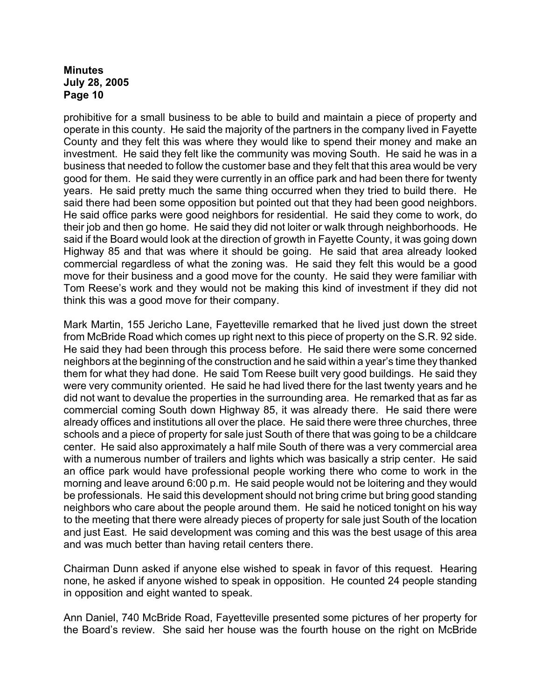prohibitive for a small business to be able to build and maintain a piece of property and operate in this county. He said the majority of the partners in the company lived in Fayette County and they felt this was where they would like to spend their money and make an investment. He said they felt like the community was moving South. He said he was in a business that needed to follow the customer base and they felt that this area would be very good for them. He said they were currently in an office park and had been there for twenty years. He said pretty much the same thing occurred when they tried to build there. He said there had been some opposition but pointed out that they had been good neighbors. He said office parks were good neighbors for residential. He said they come to work, do their job and then go home. He said they did not loiter or walk through neighborhoods. He said if the Board would look at the direction of growth in Fayette County, it was going down Highway 85 and that was where it should be going. He said that area already looked commercial regardless of what the zoning was. He said they felt this would be a good move for their business and a good move for the county. He said they were familiar with Tom Reese's work and they would not be making this kind of investment if they did not think this was a good move for their company.

Mark Martin, 155 Jericho Lane, Fayetteville remarked that he lived just down the street from McBride Road which comes up right next to this piece of property on the S.R. 92 side. He said they had been through this process before. He said there were some concerned neighbors at the beginning of the construction and he said within a year's time they thanked them for what they had done. He said Tom Reese built very good buildings. He said they were very community oriented. He said he had lived there for the last twenty years and he did not want to devalue the properties in the surrounding area. He remarked that as far as commercial coming South down Highway 85, it was already there. He said there were already offices and institutions all over the place. He said there were three churches, three schools and a piece of property for sale just South of there that was going to be a childcare center. He said also approximately a half mile South of there was a very commercial area with a numerous number of trailers and lights which was basically a strip center. He said an office park would have professional people working there who come to work in the morning and leave around 6:00 p.m. He said people would not be loitering and they would be professionals. He said this development should not bring crime but bring good standing neighbors who care about the people around them. He said he noticed tonight on his way to the meeting that there were already pieces of property for sale just South of the location and just East. He said development was coming and this was the best usage of this area and was much better than having retail centers there.

Chairman Dunn asked if anyone else wished to speak in favor of this request. Hearing none, he asked if anyone wished to speak in opposition. He counted 24 people standing in opposition and eight wanted to speak.

Ann Daniel, 740 McBride Road, Fayetteville presented some pictures of her property for the Board's review. She said her house was the fourth house on the right on McBride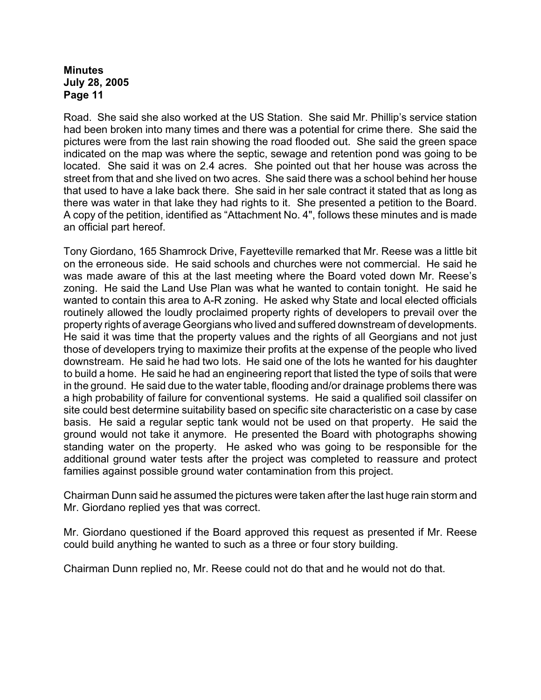Road. She said she also worked at the US Station. She said Mr. Phillip's service station had been broken into many times and there was a potential for crime there. She said the pictures were from the last rain showing the road flooded out. She said the green space indicated on the map was where the septic, sewage and retention pond was going to be located. She said it was on 2.4 acres. She pointed out that her house was across the street from that and she lived on two acres. She said there was a school behind her house that used to have a lake back there. She said in her sale contract it stated that as long as there was water in that lake they had rights to it. She presented a petition to the Board. A copy of the petition, identified as "Attachment No. 4", follows these minutes and is made an official part hereof.

Tony Giordano, 165 Shamrock Drive, Fayetteville remarked that Mr. Reese was a little bit on the erroneous side. He said schools and churches were not commercial. He said he was made aware of this at the last meeting where the Board voted down Mr. Reese's zoning. He said the Land Use Plan was what he wanted to contain tonight. He said he wanted to contain this area to A-R zoning. He asked why State and local elected officials routinely allowed the loudly proclaimed property rights of developers to prevail over the property rights of average Georgians who lived and suffered downstream of developments. He said it was time that the property values and the rights of all Georgians and not just those of developers trying to maximize their profits at the expense of the people who lived downstream. He said he had two lots. He said one of the lots he wanted for his daughter to build a home. He said he had an engineering report that listed the type of soils that were in the ground. He said due to the water table, flooding and/or drainage problems there was a high probability of failure for conventional systems. He said a qualified soil classifer on site could best determine suitability based on specific site characteristic on a case by case basis. He said a regular septic tank would not be used on that property. He said the ground would not take it anymore. He presented the Board with photographs showing standing water on the property. He asked who was going to be responsible for the additional ground water tests after the project was completed to reassure and protect families against possible ground water contamination from this project.

Chairman Dunn said he assumed the pictures were taken after the last huge rain storm and Mr. Giordano replied yes that was correct.

Mr. Giordano questioned if the Board approved this request as presented if Mr. Reese could build anything he wanted to such as a three or four story building.

Chairman Dunn replied no, Mr. Reese could not do that and he would not do that.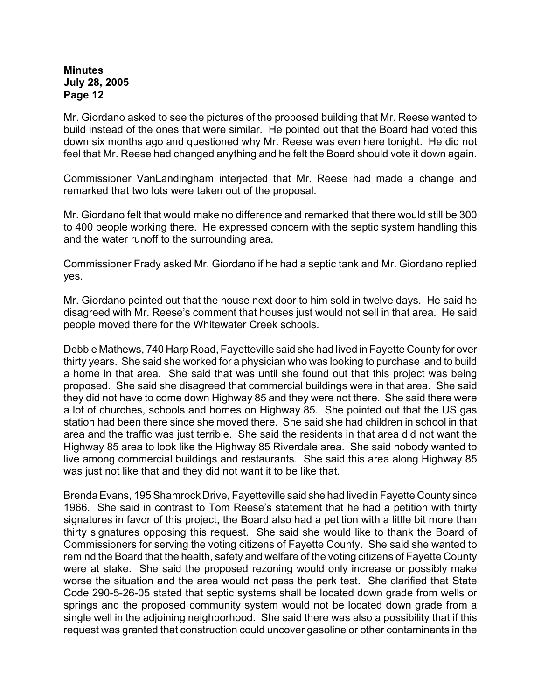Mr. Giordano asked to see the pictures of the proposed building that Mr. Reese wanted to build instead of the ones that were similar. He pointed out that the Board had voted this down six months ago and questioned why Mr. Reese was even here tonight. He did not feel that Mr. Reese had changed anything and he felt the Board should vote it down again.

Commissioner VanLandingham interjected that Mr. Reese had made a change and remarked that two lots were taken out of the proposal.

Mr. Giordano felt that would make no difference and remarked that there would still be 300 to 400 people working there. He expressed concern with the septic system handling this and the water runoff to the surrounding area.

Commissioner Frady asked Mr. Giordano if he had a septic tank and Mr. Giordano replied yes.

Mr. Giordano pointed out that the house next door to him sold in twelve days. He said he disagreed with Mr. Reese's comment that houses just would not sell in that area. He said people moved there for the Whitewater Creek schools.

Debbie Mathews, 740 Harp Road, Fayetteville said she had lived in Fayette County for over thirty years. She said she worked for a physician who was looking to purchase land to build a home in that area. She said that was until she found out that this project was being proposed. She said she disagreed that commercial buildings were in that area. She said they did not have to come down Highway 85 and they were not there. She said there were a lot of churches, schools and homes on Highway 85. She pointed out that the US gas station had been there since she moved there. She said she had children in school in that area and the traffic was just terrible. She said the residents in that area did not want the Highway 85 area to look like the Highway 85 Riverdale area. She said nobody wanted to live among commercial buildings and restaurants. She said this area along Highway 85 was just not like that and they did not want it to be like that.

Brenda Evans, 195 Shamrock Drive, Fayetteville said she had lived in Fayette County since 1966. She said in contrast to Tom Reese's statement that he had a petition with thirty signatures in favor of this project, the Board also had a petition with a little bit more than thirty signatures opposing this request. She said she would like to thank the Board of Commissioners for serving the voting citizens of Fayette County. She said she wanted to remind the Board that the health, safety and welfare of the voting citizens of Fayette County were at stake. She said the proposed rezoning would only increase or possibly make worse the situation and the area would not pass the perk test. She clarified that State Code 290-5-26-05 stated that septic systems shall be located down grade from wells or springs and the proposed community system would not be located down grade from a single well in the adjoining neighborhood. She said there was also a possibility that if this request was granted that construction could uncover gasoline or other contaminants in the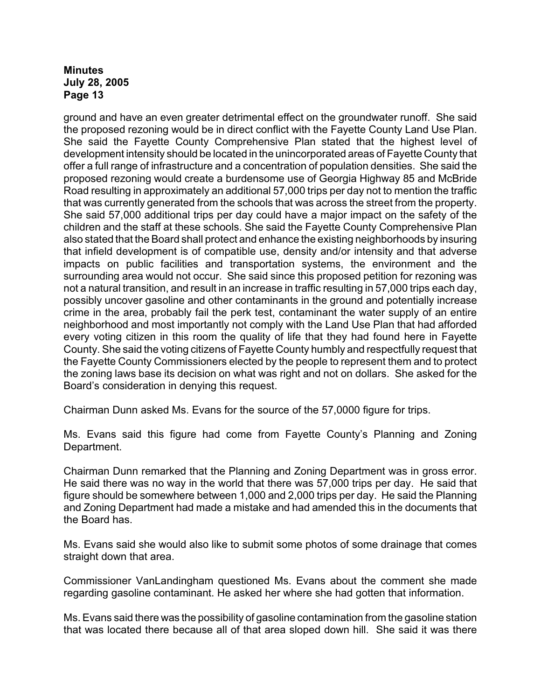ground and have an even greater detrimental effect on the groundwater runoff. She said the proposed rezoning would be in direct conflict with the Fayette County Land Use Plan. She said the Fayette County Comprehensive Plan stated that the highest level of development intensity should be located in the unincorporated areas of Fayette County that offer a full range of infrastructure and a concentration of population densities. She said the proposed rezoning would create a burdensome use of Georgia Highway 85 and McBride Road resulting in approximately an additional 57,000 trips per day not to mention the traffic that was currently generated from the schools that was across the street from the property. She said 57,000 additional trips per day could have a major impact on the safety of the children and the staff at these schools. She said the Fayette County Comprehensive Plan also stated that the Board shall protect and enhance the existing neighborhoods by insuring that infield development is of compatible use, density and/or intensity and that adverse impacts on public facilities and transportation systems, the environment and the surrounding area would not occur. She said since this proposed petition for rezoning was not a natural transition, and result in an increase in traffic resulting in 57,000 trips each day, possibly uncover gasoline and other contaminants in the ground and potentially increase crime in the area, probably fail the perk test, contaminant the water supply of an entire neighborhood and most importantly not comply with the Land Use Plan that had afforded every voting citizen in this room the quality of life that they had found here in Fayette County. She said the voting citizens of Fayette County humbly and respectfully request that the Fayette County Commissioners elected by the people to represent them and to protect the zoning laws base its decision on what was right and not on dollars. She asked for the Board's consideration in denying this request.

Chairman Dunn asked Ms. Evans for the source of the 57,0000 figure for trips.

Ms. Evans said this figure had come from Fayette County's Planning and Zoning Department.

Chairman Dunn remarked that the Planning and Zoning Department was in gross error. He said there was no way in the world that there was 57,000 trips per day. He said that figure should be somewhere between 1,000 and 2,000 trips per day. He said the Planning and Zoning Department had made a mistake and had amended this in the documents that the Board has.

Ms. Evans said she would also like to submit some photos of some drainage that comes straight down that area.

Commissioner VanLandingham questioned Ms. Evans about the comment she made regarding gasoline contaminant. He asked her where she had gotten that information.

Ms. Evans said there was the possibility of gasoline contamination from the gasoline station that was located there because all of that area sloped down hill. She said it was there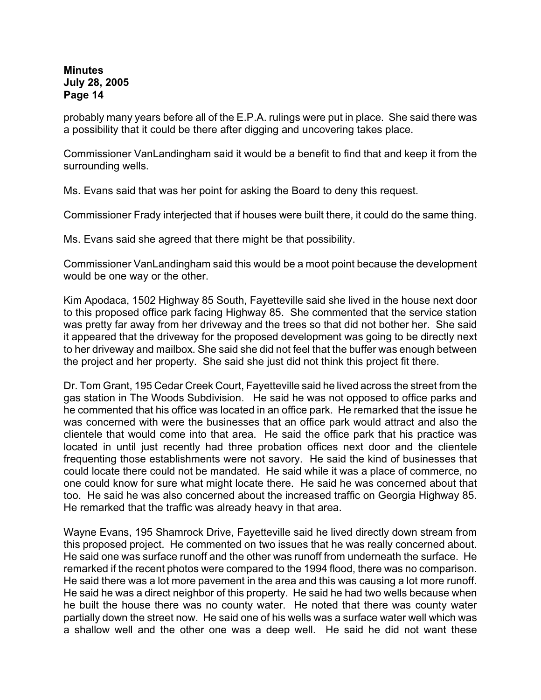probably many years before all of the E.P.A. rulings were put in place. She said there was a possibility that it could be there after digging and uncovering takes place.

Commissioner VanLandingham said it would be a benefit to find that and keep it from the surrounding wells.

Ms. Evans said that was her point for asking the Board to deny this request.

Commissioner Frady interjected that if houses were built there, it could do the same thing.

Ms. Evans said she agreed that there might be that possibility.

Commissioner VanLandingham said this would be a moot point because the development would be one way or the other.

Kim Apodaca, 1502 Highway 85 South, Fayetteville said she lived in the house next door to this proposed office park facing Highway 85. She commented that the service station was pretty far away from her driveway and the trees so that did not bother her. She said it appeared that the driveway for the proposed development was going to be directly next to her driveway and mailbox. She said she did not feel that the buffer was enough between the project and her property. She said she just did not think this project fit there.

Dr. Tom Grant, 195 Cedar Creek Court, Fayetteville said he lived across the street from the gas station in The Woods Subdivision. He said he was not opposed to office parks and he commented that his office was located in an office park. He remarked that the issue he was concerned with were the businesses that an office park would attract and also the clientele that would come into that area. He said the office park that his practice was located in until just recently had three probation offices next door and the clientele frequenting those establishments were not savory. He said the kind of businesses that could locate there could not be mandated. He said while it was a place of commerce, no one could know for sure what might locate there. He said he was concerned about that too. He said he was also concerned about the increased traffic on Georgia Highway 85. He remarked that the traffic was already heavy in that area.

Wayne Evans, 195 Shamrock Drive, Fayetteville said he lived directly down stream from this proposed project. He commented on two issues that he was really concerned about. He said one was surface runoff and the other was runoff from underneath the surface. He remarked if the recent photos were compared to the 1994 flood, there was no comparison. He said there was a lot more pavement in the area and this was causing a lot more runoff. He said he was a direct neighbor of this property. He said he had two wells because when he built the house there was no county water. He noted that there was county water partially down the street now. He said one of his wells was a surface water well which was a shallow well and the other one was a deep well. He said he did not want these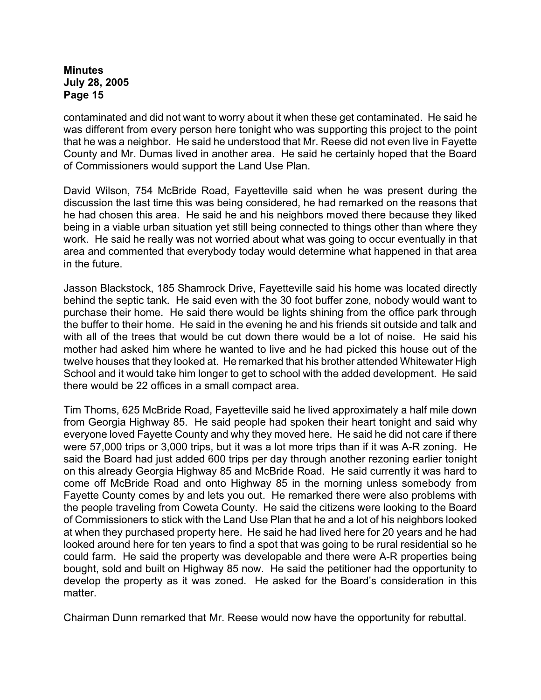contaminated and did not want to worry about it when these get contaminated. He said he was different from every person here tonight who was supporting this project to the point that he was a neighbor. He said he understood that Mr. Reese did not even live in Fayette County and Mr. Dumas lived in another area. He said he certainly hoped that the Board of Commissioners would support the Land Use Plan.

David Wilson, 754 McBride Road, Fayetteville said when he was present during the discussion the last time this was being considered, he had remarked on the reasons that he had chosen this area. He said he and his neighbors moved there because they liked being in a viable urban situation yet still being connected to things other than where they work. He said he really was not worried about what was going to occur eventually in that area and commented that everybody today would determine what happened in that area in the future.

Jasson Blackstock, 185 Shamrock Drive, Fayetteville said his home was located directly behind the septic tank. He said even with the 30 foot buffer zone, nobody would want to purchase their home. He said there would be lights shining from the office park through the buffer to their home. He said in the evening he and his friends sit outside and talk and with all of the trees that would be cut down there would be a lot of noise. He said his mother had asked him where he wanted to live and he had picked this house out of the twelve houses that they looked at. He remarked that his brother attended Whitewater High School and it would take him longer to get to school with the added development. He said there would be 22 offices in a small compact area.

Tim Thoms, 625 McBride Road, Fayetteville said he lived approximately a half mile down from Georgia Highway 85. He said people had spoken their heart tonight and said why everyone loved Fayette County and why they moved here. He said he did not care if there were 57,000 trips or 3,000 trips, but it was a lot more trips than if it was A-R zoning. He said the Board had just added 600 trips per day through another rezoning earlier tonight on this already Georgia Highway 85 and McBride Road. He said currently it was hard to come off McBride Road and onto Highway 85 in the morning unless somebody from Fayette County comes by and lets you out. He remarked there were also problems with the people traveling from Coweta County. He said the citizens were looking to the Board of Commissioners to stick with the Land Use Plan that he and a lot of his neighbors looked at when they purchased property here. He said he had lived here for 20 years and he had looked around here for ten years to find a spot that was going to be rural residential so he could farm. He said the property was developable and there were A-R properties being bought, sold and built on Highway 85 now. He said the petitioner had the opportunity to develop the property as it was zoned. He asked for the Board's consideration in this matter.

Chairman Dunn remarked that Mr. Reese would now have the opportunity for rebuttal.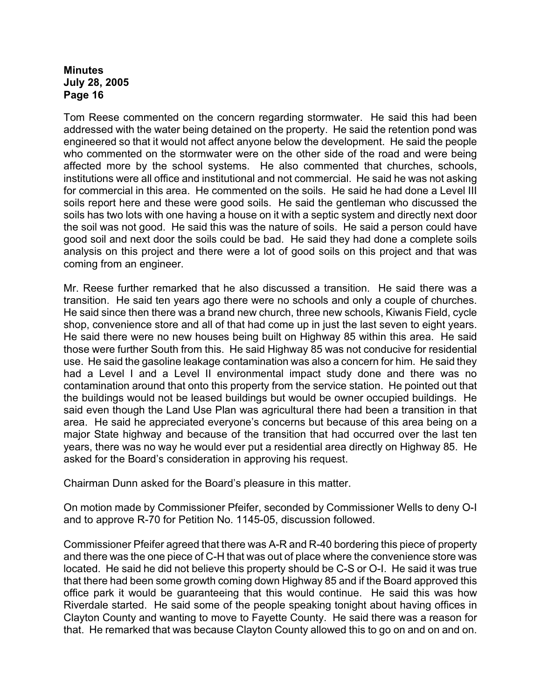Tom Reese commented on the concern regarding stormwater. He said this had been addressed with the water being detained on the property. He said the retention pond was engineered so that it would not affect anyone below the development. He said the people who commented on the stormwater were on the other side of the road and were being affected more by the school systems. He also commented that churches, schools, institutions were all office and institutional and not commercial. He said he was not asking for commercial in this area. He commented on the soils. He said he had done a Level III soils report here and these were good soils. He said the gentleman who discussed the soils has two lots with one having a house on it with a septic system and directly next door the soil was not good. He said this was the nature of soils. He said a person could have good soil and next door the soils could be bad. He said they had done a complete soils analysis on this project and there were a lot of good soils on this project and that was coming from an engineer.

Mr. Reese further remarked that he also discussed a transition. He said there was a transition. He said ten years ago there were no schools and only a couple of churches. He said since then there was a brand new church, three new schools, Kiwanis Field, cycle shop, convenience store and all of that had come up in just the last seven to eight years. He said there were no new houses being built on Highway 85 within this area. He said those were further South from this. He said Highway 85 was not conducive for residential use. He said the gasoline leakage contamination was also a concern for him. He said they had a Level I and a Level II environmental impact study done and there was no contamination around that onto this property from the service station. He pointed out that the buildings would not be leased buildings but would be owner occupied buildings. He said even though the Land Use Plan was agricultural there had been a transition in that area. He said he appreciated everyone's concerns but because of this area being on a major State highway and because of the transition that had occurred over the last ten years, there was no way he would ever put a residential area directly on Highway 85. He asked for the Board's consideration in approving his request.

Chairman Dunn asked for the Board's pleasure in this matter.

On motion made by Commissioner Pfeifer, seconded by Commissioner Wells to deny O-I and to approve R-70 for Petition No. 1145-05, discussion followed.

Commissioner Pfeifer agreed that there was A-R and R-40 bordering this piece of property and there was the one piece of C-H that was out of place where the convenience store was located. He said he did not believe this property should be C-S or O-I. He said it was true that there had been some growth coming down Highway 85 and if the Board approved this office park it would be guaranteeing that this would continue. He said this was how Riverdale started. He said some of the people speaking tonight about having offices in Clayton County and wanting to move to Fayette County. He said there was a reason for that. He remarked that was because Clayton County allowed this to go on and on and on.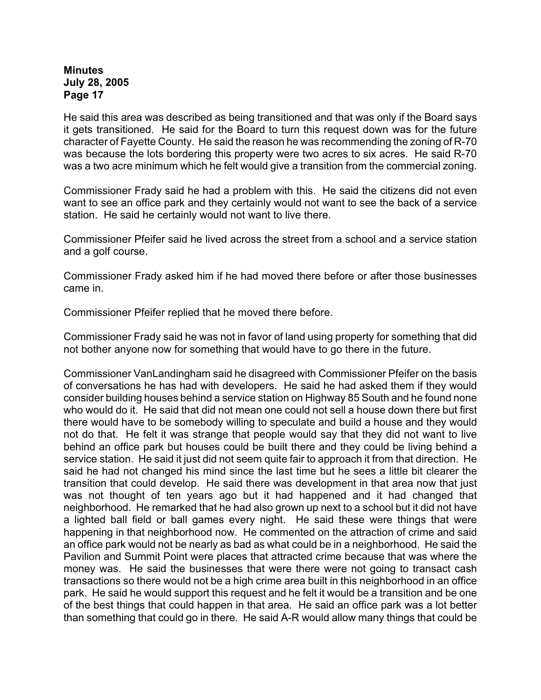He said this area was described as being transitioned and that was only if the Board says it gets transitioned. He said for the Board to turn this request down was for the future character of Fayette County. He said the reason he was recommending the zoning of R-70 was because the lots bordering this property were two acres to six acres. He said R-70 was a two acre minimum which he felt would give a transition from the commercial zoning.

Commissioner Frady said he had a problem with this. He said the citizens did not even want to see an office park and they certainly would not want to see the back of a service station. He said he certainly would not want to live there.

Commissioner Pfeifer said he lived across the street from a school and a service station and a golf course.

Commissioner Frady asked him if he had moved there before or after those businesses came in.

Commissioner Pfeifer replied that he moved there before.

Commissioner Frady said he was not in favor of land using property for something that did not bother anyone now for something that would have to go there in the future.

Commissioner VanLandingham said he disagreed with Commissioner Pfeifer on the basis of conversations he has had with developers. He said he had asked them if they would consider building houses behind a service station on Highway 85 South and he found none who would do it. He said that did not mean one could not sell a house down there but first there would have to be somebody willing to speculate and build a house and they would not do that. He felt it was strange that people would say that they did not want to live behind an office park but houses could be built there and they could be living behind a service station. He said it just did not seem quite fair to approach it from that direction. He said he had not changed his mind since the last time but he sees a little bit clearer the transition that could develop. He said there was development in that area now that just was not thought of ten years ago but it had happened and it had changed that neighborhood. He remarked that he had also grown up next to a school but it did not have a lighted ball field or ball games every night. He said these were things that were happening in that neighborhood now. He commented on the attraction of crime and said an office park would not be nearly as bad as what could be in a neighborhood. He said the Pavilion and Summit Point were places that attracted crime because that was where the money was. He said the businesses that were there were not going to transact cash transactions so there would not be a high crime area built in this neighborhood in an office park. He said he would support this request and he felt it would be a transition and be one of the best things that could happen in that area. He said an office park was a lot better than something that could go in there. He said A-R would allow many things that could be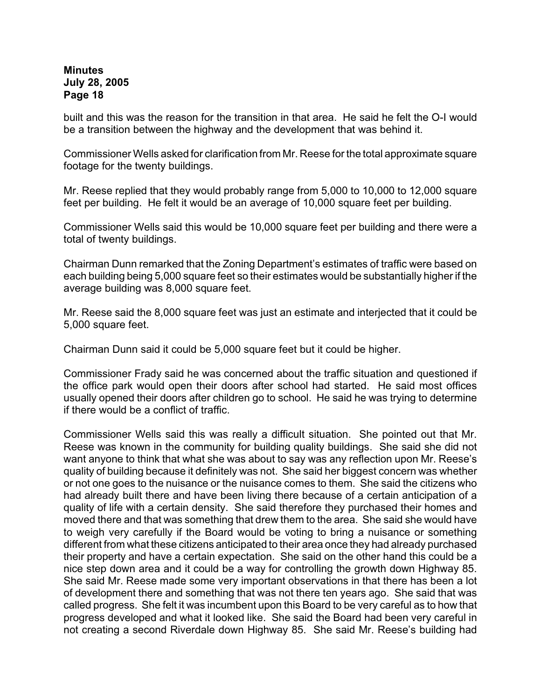built and this was the reason for the transition in that area. He said he felt the O-I would be a transition between the highway and the development that was behind it.

Commissioner Wells asked for clarification from Mr. Reese for the total approximate square footage for the twenty buildings.

Mr. Reese replied that they would probably range from 5,000 to 10,000 to 12,000 square feet per building. He felt it would be an average of 10,000 square feet per building.

Commissioner Wells said this would be 10,000 square feet per building and there were a total of twenty buildings.

Chairman Dunn remarked that the Zoning Department's estimates of traffic were based on each building being 5,000 square feet so their estimates would be substantially higher if the average building was 8,000 square feet.

Mr. Reese said the 8,000 square feet was just an estimate and interjected that it could be 5,000 square feet.

Chairman Dunn said it could be 5,000 square feet but it could be higher.

Commissioner Frady said he was concerned about the traffic situation and questioned if the office park would open their doors after school had started. He said most offices usually opened their doors after children go to school. He said he was trying to determine if there would be a conflict of traffic.

Commissioner Wells said this was really a difficult situation. She pointed out that Mr. Reese was known in the community for building quality buildings. She said she did not want anyone to think that what she was about to say was any reflection upon Mr. Reese's quality of building because it definitely was not. She said her biggest concern was whether or not one goes to the nuisance or the nuisance comes to them. She said the citizens who had already built there and have been living there because of a certain anticipation of a quality of life with a certain density. She said therefore they purchased their homes and moved there and that was something that drew them to the area. She said she would have to weigh very carefully if the Board would be voting to bring a nuisance or something different from what these citizens anticipated to their area once they had already purchased their property and have a certain expectation. She said on the other hand this could be a nice step down area and it could be a way for controlling the growth down Highway 85. She said Mr. Reese made some very important observations in that there has been a lot of development there and something that was not there ten years ago. She said that was called progress. She felt it was incumbent upon this Board to be very careful as to how that progress developed and what it looked like. She said the Board had been very careful in not creating a second Riverdale down Highway 85. She said Mr. Reese's building had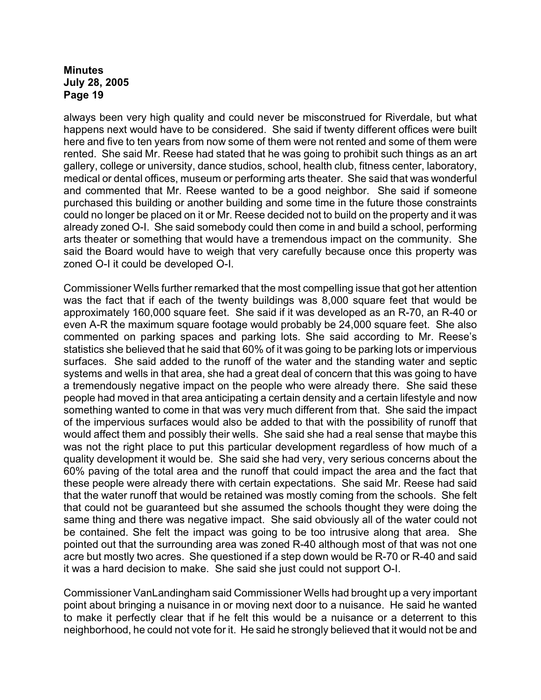always been very high quality and could never be misconstrued for Riverdale, but what happens next would have to be considered. She said if twenty different offices were built here and five to ten years from now some of them were not rented and some of them were rented. She said Mr. Reese had stated that he was going to prohibit such things as an art gallery, college or university, dance studios, school, health club, fitness center, laboratory, medical or dental offices, museum or performing arts theater. She said that was wonderful and commented that Mr. Reese wanted to be a good neighbor. She said if someone purchased this building or another building and some time in the future those constraints could no longer be placed on it or Mr. Reese decided not to build on the property and it was already zoned O-I. She said somebody could then come in and build a school, performing arts theater or something that would have a tremendous impact on the community. She said the Board would have to weigh that very carefully because once this property was zoned O-I it could be developed O-I.

Commissioner Wells further remarked that the most compelling issue that got her attention was the fact that if each of the twenty buildings was 8,000 square feet that would be approximately 160,000 square feet. She said if it was developed as an R-70, an R-40 or even A-R the maximum square footage would probably be 24,000 square feet. She also commented on parking spaces and parking lots. She said according to Mr. Reese's statistics she believed that he said that 60% of it was going to be parking lots or impervious surfaces. She said added to the runoff of the water and the standing water and septic systems and wells in that area, she had a great deal of concern that this was going to have a tremendously negative impact on the people who were already there. She said these people had moved in that area anticipating a certain density and a certain lifestyle and now something wanted to come in that was very much different from that. She said the impact of the impervious surfaces would also be added to that with the possibility of runoff that would affect them and possibly their wells. She said she had a real sense that maybe this was not the right place to put this particular development regardless of how much of a quality development it would be. She said she had very, very serious concerns about the 60% paving of the total area and the runoff that could impact the area and the fact that these people were already there with certain expectations. She said Mr. Reese had said that the water runoff that would be retained was mostly coming from the schools. She felt that could not be guaranteed but she assumed the schools thought they were doing the same thing and there was negative impact. She said obviously all of the water could not be contained. She felt the impact was going to be too intrusive along that area. She pointed out that the surrounding area was zoned R-40 although most of that was not one acre but mostly two acres. She questioned if a step down would be R-70 or R-40 and said it was a hard decision to make. She said she just could not support O-I.

Commissioner VanLandingham said Commissioner Wells had brought up a very important point about bringing a nuisance in or moving next door to a nuisance. He said he wanted to make it perfectly clear that if he felt this would be a nuisance or a deterrent to this neighborhood, he could not vote for it. He said he strongly believed that it would not be and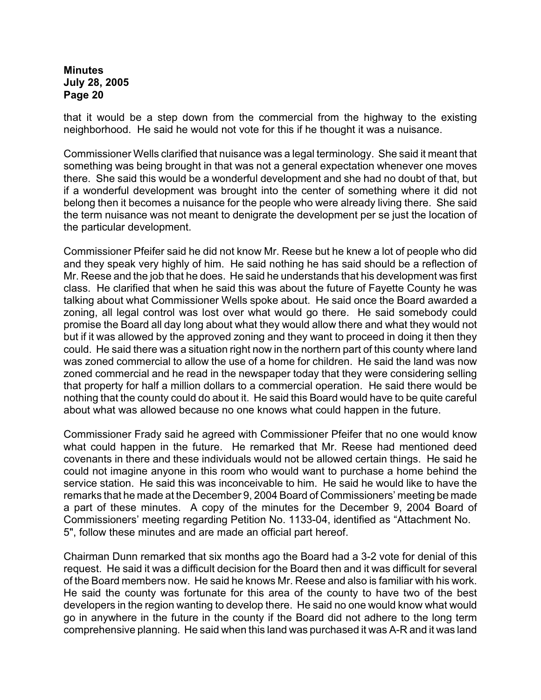that it would be a step down from the commercial from the highway to the existing neighborhood. He said he would not vote for this if he thought it was a nuisance.

Commissioner Wells clarified that nuisance was a legal terminology. She said it meant that something was being brought in that was not a general expectation whenever one moves there. She said this would be a wonderful development and she had no doubt of that, but if a wonderful development was brought into the center of something where it did not belong then it becomes a nuisance for the people who were already living there. She said the term nuisance was not meant to denigrate the development per se just the location of the particular development.

Commissioner Pfeifer said he did not know Mr. Reese but he knew a lot of people who did and they speak very highly of him. He said nothing he has said should be a reflection of Mr. Reese and the job that he does. He said he understands that his development was first class. He clarified that when he said this was about the future of Fayette County he was talking about what Commissioner Wells spoke about. He said once the Board awarded a zoning, all legal control was lost over what would go there. He said somebody could promise the Board all day long about what they would allow there and what they would not but if it was allowed by the approved zoning and they want to proceed in doing it then they could. He said there was a situation right now in the northern part of this county where land was zoned commercial to allow the use of a home for children. He said the land was now zoned commercial and he read in the newspaper today that they were considering selling that property for half a million dollars to a commercial operation. He said there would be nothing that the county could do about it. He said this Board would have to be quite careful about what was allowed because no one knows what could happen in the future.

Commissioner Frady said he agreed with Commissioner Pfeifer that no one would know what could happen in the future. He remarked that Mr. Reese had mentioned deed covenants in there and these individuals would not be allowed certain things. He said he could not imagine anyone in this room who would want to purchase a home behind the service station. He said this was inconceivable to him. He said he would like to have the remarks that he made at the December 9, 2004 Board of Commissioners' meeting be made a part of these minutes. A copy of the minutes for the December 9, 2004 Board of Commissioners' meeting regarding Petition No. 1133-04, identified as "Attachment No. 5", follow these minutes and are made an official part hereof.

Chairman Dunn remarked that six months ago the Board had a 3-2 vote for denial of this request. He said it was a difficult decision for the Board then and it was difficult for several of the Board members now. He said he knows Mr. Reese and also is familiar with his work. He said the county was fortunate for this area of the county to have two of the best developers in the region wanting to develop there. He said no one would know what would go in anywhere in the future in the county if the Board did not adhere to the long term comprehensive planning. He said when this land was purchased it was A-R and it was land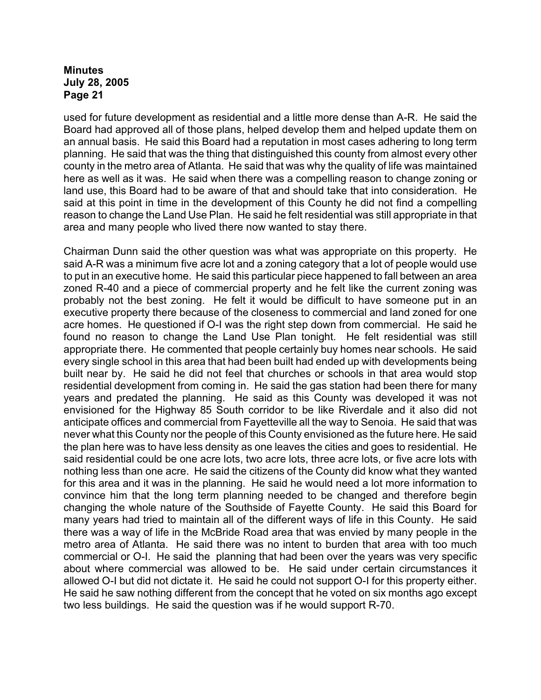used for future development as residential and a little more dense than A-R. He said the Board had approved all of those plans, helped develop them and helped update them on an annual basis. He said this Board had a reputation in most cases adhering to long term planning. He said that was the thing that distinguished this county from almost every other county in the metro area of Atlanta. He said that was why the quality of life was maintained here as well as it was. He said when there was a compelling reason to change zoning or land use, this Board had to be aware of that and should take that into consideration. He said at this point in time in the development of this County he did not find a compelling reason to change the Land Use Plan. He said he felt residential was still appropriate in that area and many people who lived there now wanted to stay there.

Chairman Dunn said the other question was what was appropriate on this property. He said A-R was a minimum five acre lot and a zoning category that a lot of people would use to put in an executive home. He said this particular piece happened to fall between an area zoned R-40 and a piece of commercial property and he felt like the current zoning was probably not the best zoning. He felt it would be difficult to have someone put in an executive property there because of the closeness to commercial and land zoned for one acre homes. He questioned if O-I was the right step down from commercial. He said he found no reason to change the Land Use Plan tonight. He felt residential was still appropriate there. He commented that people certainly buy homes near schools. He said every single school in this area that had been built had ended up with developments being built near by. He said he did not feel that churches or schools in that area would stop residential development from coming in. He said the gas station had been there for many years and predated the planning. He said as this County was developed it was not envisioned for the Highway 85 South corridor to be like Riverdale and it also did not anticipate offices and commercial from Fayetteville all the way to Senoia. He said that was never what this County nor the people of this County envisioned as the future here. He said the plan here was to have less density as one leaves the cities and goes to residential. He said residential could be one acre lots, two acre lots, three acre lots, or five acre lots with nothing less than one acre. He said the citizens of the County did know what they wanted for this area and it was in the planning. He said he would need a lot more information to convince him that the long term planning needed to be changed and therefore begin changing the whole nature of the Southside of Fayette County. He said this Board for many years had tried to maintain all of the different ways of life in this County. He said there was a way of life in the McBride Road area that was envied by many people in the metro area of Atlanta. He said there was no intent to burden that area with too much commercial or O-I. He said the planning that had been over the years was very specific about where commercial was allowed to be. He said under certain circumstances it allowed O-I but did not dictate it. He said he could not support O-I for this property either. He said he saw nothing different from the concept that he voted on six months ago except two less buildings. He said the question was if he would support R-70.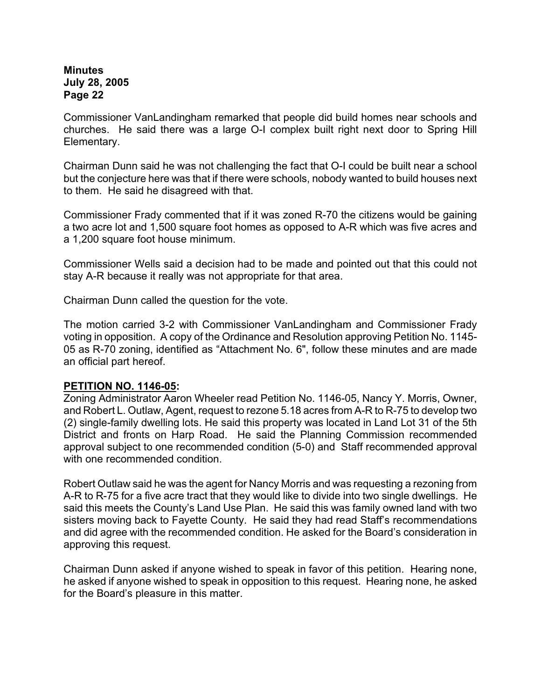Commissioner VanLandingham remarked that people did build homes near schools and churches. He said there was a large O-I complex built right next door to Spring Hill Elementary.

Chairman Dunn said he was not challenging the fact that O-I could be built near a school but the conjecture here was that if there were schools, nobody wanted to build houses next to them. He said he disagreed with that.

Commissioner Frady commented that if it was zoned R-70 the citizens would be gaining a two acre lot and 1,500 square foot homes as opposed to A-R which was five acres and a 1,200 square foot house minimum.

Commissioner Wells said a decision had to be made and pointed out that this could not stay A-R because it really was not appropriate for that area.

Chairman Dunn called the question for the vote.

The motion carried 3-2 with Commissioner VanLandingham and Commissioner Frady voting in opposition. A copy of the Ordinance and Resolution approving Petition No. 1145- 05 as R-70 zoning, identified as "Attachment No. 6", follow these minutes and are made an official part hereof.

## **PETITION NO. 1146-05:**

Zoning Administrator Aaron Wheeler read Petition No. 1146-05, Nancy Y. Morris, Owner, and Robert L. Outlaw, Agent, request to rezone 5.18 acres from A-R to R-75 to develop two (2) single-family dwelling lots. He said this property was located in Land Lot 31 of the 5th District and fronts on Harp Road. He said the Planning Commission recommended approval subject to one recommended condition (5-0) and Staff recommended approval with one recommended condition.

Robert Outlaw said he was the agent for Nancy Morris and was requesting a rezoning from A-R to R-75 for a five acre tract that they would like to divide into two single dwellings. He said this meets the County's Land Use Plan. He said this was family owned land with two sisters moving back to Fayette County. He said they had read Staff's recommendations and did agree with the recommended condition. He asked for the Board's consideration in approving this request.

Chairman Dunn asked if anyone wished to speak in favor of this petition. Hearing none, he asked if anyone wished to speak in opposition to this request. Hearing none, he asked for the Board's pleasure in this matter.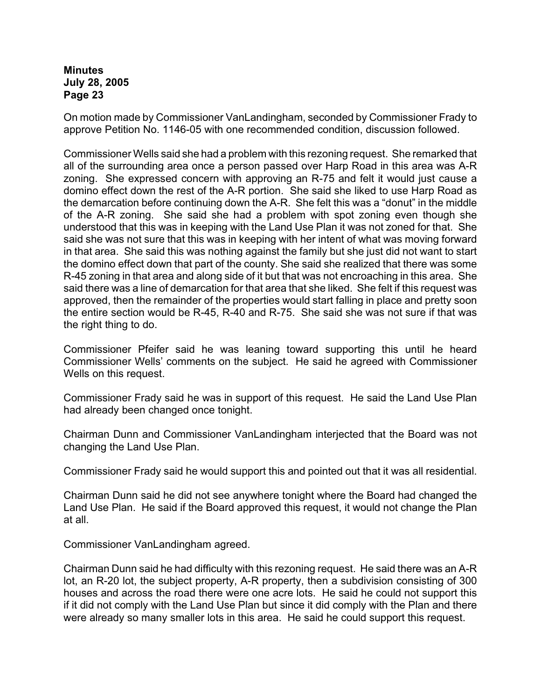On motion made by Commissioner VanLandingham, seconded by Commissioner Frady to approve Petition No. 1146-05 with one recommended condition, discussion followed.

Commissioner Wells said she had a problem with this rezoning request. She remarked that all of the surrounding area once a person passed over Harp Road in this area was A-R zoning. She expressed concern with approving an R-75 and felt it would just cause a domino effect down the rest of the A-R portion. She said she liked to use Harp Road as the demarcation before continuing down the A-R. She felt this was a "donut" in the middle of the A-R zoning. She said she had a problem with spot zoning even though she understood that this was in keeping with the Land Use Plan it was not zoned for that. She said she was not sure that this was in keeping with her intent of what was moving forward in that area. She said this was nothing against the family but she just did not want to start the domino effect down that part of the county. She said she realized that there was some R-45 zoning in that area and along side of it but that was not encroaching in this area. She said there was a line of demarcation for that area that she liked. She felt if this request was approved, then the remainder of the properties would start falling in place and pretty soon the entire section would be R-45, R-40 and R-75. She said she was not sure if that was the right thing to do.

Commissioner Pfeifer said he was leaning toward supporting this until he heard Commissioner Wells' comments on the subject. He said he agreed with Commissioner Wells on this request.

Commissioner Frady said he was in support of this request. He said the Land Use Plan had already been changed once tonight.

Chairman Dunn and Commissioner VanLandingham interjected that the Board was not changing the Land Use Plan.

Commissioner Frady said he would support this and pointed out that it was all residential.

Chairman Dunn said he did not see anywhere tonight where the Board had changed the Land Use Plan. He said if the Board approved this request, it would not change the Plan at all.

Commissioner VanLandingham agreed.

Chairman Dunn said he had difficulty with this rezoning request. He said there was an A-R lot, an R-20 lot, the subject property, A-R property, then a subdivision consisting of 300 houses and across the road there were one acre lots. He said he could not support this if it did not comply with the Land Use Plan but since it did comply with the Plan and there were already so many smaller lots in this area. He said he could support this request.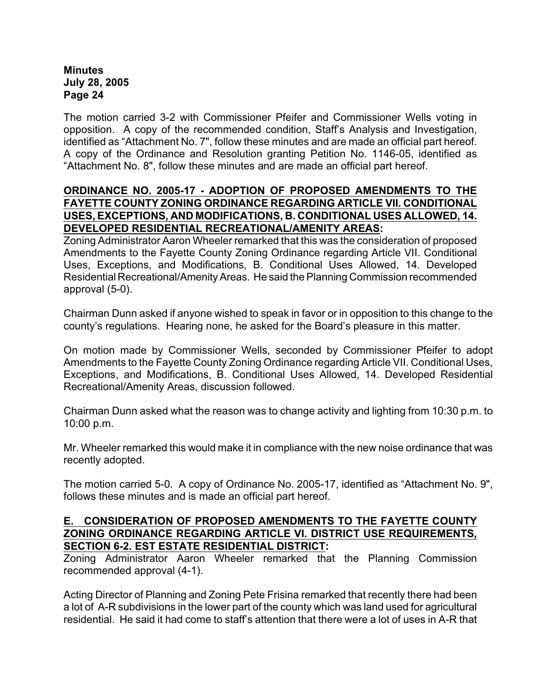The motion carried 3-2 with Commissioner Pfeifer and Commissioner Wells voting in opposition. A copy of the recommended condition, Staff's Analysis and Investigation, identified as "Attachment No. 7", follow these minutes and are made an official part hereof. A copy of the Ordinance and Resolution granting Petition No. 1146-05, identified as "Attachment No. 8", follow these minutes and are made an official part hereof.

## **ORDINANCE NO. 2005-17 - ADOPTION OF PROPOSED AMENDMENTS TO THE FAYETTE COUNTY ZONING ORDINANCE REGARDING ARTICLE VII. CONDITIONAL USES, EXCEPTIONS, AND MODIFICATIONS, B. CONDITIONAL USES ALLOWED, 14. DEVELOPED RESIDENTIAL RECREATIONAL/AMENITY AREAS:**

Zoning Administrator Aaron Wheeler remarked that this was the consideration of proposed Amendments to the Fayette County Zoning Ordinance regarding Article VII. Conditional Uses, Exceptions, and Modifications, B. Conditional Uses Allowed, 14. Developed Residential Recreational/Amenity Areas. He said the Planning Commission recommended approval (5-0).

Chairman Dunn asked if anyone wished to speak in favor or in opposition to this change to the county's regulations. Hearing none, he asked for the Board's pleasure in this matter.

On motion made by Commissioner Wells, seconded by Commissioner Pfeifer to adopt Amendments to the Fayette County Zoning Ordinance regarding Article VII. Conditional Uses, Exceptions, and Modifications, B. Conditional Uses Allowed, 14. Developed Residential Recreational/Amenity Areas, discussion followed.

Chairman Dunn asked what the reason was to change activity and lighting from 10:30 p.m. to 10:00 p.m.

Mr. Wheeler remarked this would make it in compliance with the new noise ordinance that was recently adopted.

The motion carried 5-0. A copy of Ordinance No. 2005-17, identified as "Attachment No. 9", follows these minutes and is made an official part hereof.

## **E. CONSIDERATION OF PROPOSED AMENDMENTS TO THE FAYETTE COUNTY ZONING ORDINANCE REGARDING ARTICLE VI. DISTRICT USE REQUIREMENTS, SECTION 6-2. EST ESTATE RESIDENTIAL DISTRICT:**

Zoning Administrator Aaron Wheeler remarked that the Planning Commission recommended approval (4-1).

Acting Director of Planning and Zoning Pete Frisina remarked that recently there had been a lot of A-R subdivisions in the lower part of the county which was land used for agricultural residential. He said it had come to staff's attention that there were a lot of uses in A-R that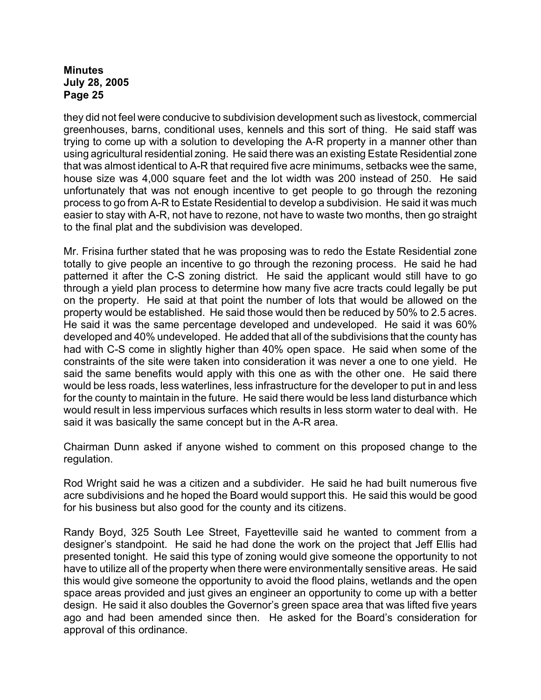they did not feel were conducive to subdivision development such as livestock, commercial greenhouses, barns, conditional uses, kennels and this sort of thing. He said staff was trying to come up with a solution to developing the A-R property in a manner other than using agricultural residential zoning. He said there was an existing Estate Residential zone that was almost identical to A-R that required five acre minimums, setbacks wee the same, house size was 4,000 square feet and the lot width was 200 instead of 250. He said unfortunately that was not enough incentive to get people to go through the rezoning process to go from A-R to Estate Residential to develop a subdivision. He said it was much easier to stay with A-R, not have to rezone, not have to waste two months, then go straight to the final plat and the subdivision was developed.

Mr. Frisina further stated that he was proposing was to redo the Estate Residential zone totally to give people an incentive to go through the rezoning process. He said he had patterned it after the C-S zoning district. He said the applicant would still have to go through a yield plan process to determine how many five acre tracts could legally be put on the property. He said at that point the number of lots that would be allowed on the property would be established. He said those would then be reduced by 50% to 2.5 acres. He said it was the same percentage developed and undeveloped. He said it was 60% developed and 40% undeveloped. He added that all of the subdivisions that the county has had with C-S come in slightly higher than 40% open space. He said when some of the constraints of the site were taken into consideration it was never a one to one yield. He said the same benefits would apply with this one as with the other one. He said there would be less roads, less waterlines, less infrastructure for the developer to put in and less for the county to maintain in the future. He said there would be less land disturbance which would result in less impervious surfaces which results in less storm water to deal with. He said it was basically the same concept but in the A-R area.

Chairman Dunn asked if anyone wished to comment on this proposed change to the regulation.

Rod Wright said he was a citizen and a subdivider. He said he had built numerous five acre subdivisions and he hoped the Board would support this. He said this would be good for his business but also good for the county and its citizens.

Randy Boyd, 325 South Lee Street, Fayetteville said he wanted to comment from a designer's standpoint. He said he had done the work on the project that Jeff Ellis had presented tonight. He said this type of zoning would give someone the opportunity to not have to utilize all of the property when there were environmentally sensitive areas. He said this would give someone the opportunity to avoid the flood plains, wetlands and the open space areas provided and just gives an engineer an opportunity to come up with a better design. He said it also doubles the Governor's green space area that was lifted five years ago and had been amended since then. He asked for the Board's consideration for approval of this ordinance.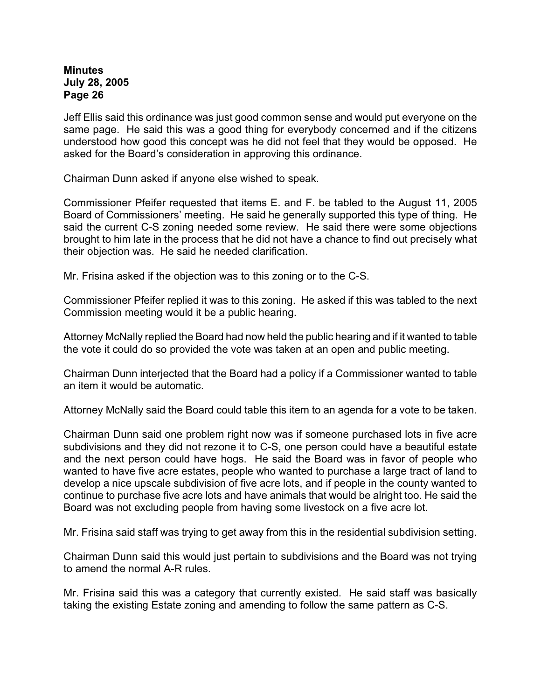Jeff Ellis said this ordinance was just good common sense and would put everyone on the same page. He said this was a good thing for everybody concerned and if the citizens understood how good this concept was he did not feel that they would be opposed. He asked for the Board's consideration in approving this ordinance.

Chairman Dunn asked if anyone else wished to speak.

Commissioner Pfeifer requested that items E. and F. be tabled to the August 11, 2005 Board of Commissioners' meeting. He said he generally supported this type of thing. He said the current C-S zoning needed some review. He said there were some objections brought to him late in the process that he did not have a chance to find out precisely what their objection was. He said he needed clarification.

Mr. Frisina asked if the objection was to this zoning or to the C-S.

Commissioner Pfeifer replied it was to this zoning. He asked if this was tabled to the next Commission meeting would it be a public hearing.

Attorney McNally replied the Board had now held the public hearing and if it wanted to table the vote it could do so provided the vote was taken at an open and public meeting.

Chairman Dunn interjected that the Board had a policy if a Commissioner wanted to table an item it would be automatic.

Attorney McNally said the Board could table this item to an agenda for a vote to be taken.

Chairman Dunn said one problem right now was if someone purchased lots in five acre subdivisions and they did not rezone it to C-S, one person could have a beautiful estate and the next person could have hogs. He said the Board was in favor of people who wanted to have five acre estates, people who wanted to purchase a large tract of land to develop a nice upscale subdivision of five acre lots, and if people in the county wanted to continue to purchase five acre lots and have animals that would be alright too. He said the Board was not excluding people from having some livestock on a five acre lot.

Mr. Frisina said staff was trying to get away from this in the residential subdivision setting.

Chairman Dunn said this would just pertain to subdivisions and the Board was not trying to amend the normal A-R rules.

Mr. Frisina said this was a category that currently existed. He said staff was basically taking the existing Estate zoning and amending to follow the same pattern as C-S.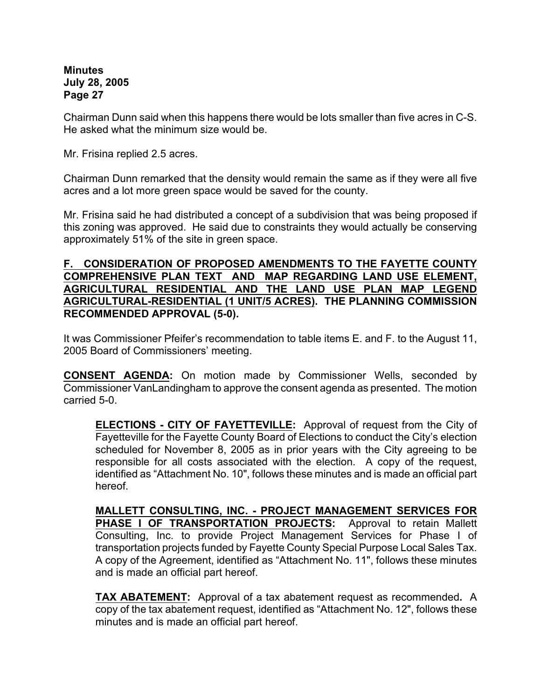Chairman Dunn said when this happens there would be lots smaller than five acres in C-S. He asked what the minimum size would be.

Mr. Frisina replied 2.5 acres.

Chairman Dunn remarked that the density would remain the same as if they were all five acres and a lot more green space would be saved for the county.

Mr. Frisina said he had distributed a concept of a subdivision that was being proposed if this zoning was approved. He said due to constraints they would actually be conserving approximately 51% of the site in green space.

## **F. CONSIDERATION OF PROPOSED AMENDMENTS TO THE FAYETTE COUNTY COMPREHENSIVE PLAN TEXT AND MAP REGARDING LAND USE ELEMENT, AGRICULTURAL RESIDENTIAL AND THE LAND USE PLAN MAP LEGEND AGRICULTURAL-RESIDENTIAL (1 UNIT/5 ACRES). THE PLANNING COMMISSION RECOMMENDED APPROVAL (5-0).**

It was Commissioner Pfeifer's recommendation to table items E. and F. to the August 11, 2005 Board of Commissioners' meeting.

**CONSENT AGENDA:** On motion made by Commissioner Wells, seconded by Commissioner VanLandingham to approve the consent agenda as presented. The motion carried 5-0.

**ELECTIONS - CITY OF FAYETTEVILLE:** Approval of request from the City of Fayetteville for the Fayette County Board of Elections to conduct the City's election scheduled for November 8, 2005 as in prior years with the City agreeing to be responsible for all costs associated with the election. A copy of the request, identified as "Attachment No. 10", follows these minutes and is made an official part hereof.

**MALLETT CONSULTING, INC. - PROJECT MANAGEMENT SERVICES FOR PHASE I OF TRANSPORTATION PROJECTS:** Approval to retain Mallett Consulting, Inc. to provide Project Management Services for Phase I of transportation projects funded by Fayette County Special Purpose Local Sales Tax. A copy of the Agreement, identified as "Attachment No. 11", follows these minutes and is made an official part hereof.

**TAX ABATEMENT:** Approval of a tax abatement request as recommended**.** A copy of the tax abatement request, identified as "Attachment No. 12", follows these minutes and is made an official part hereof.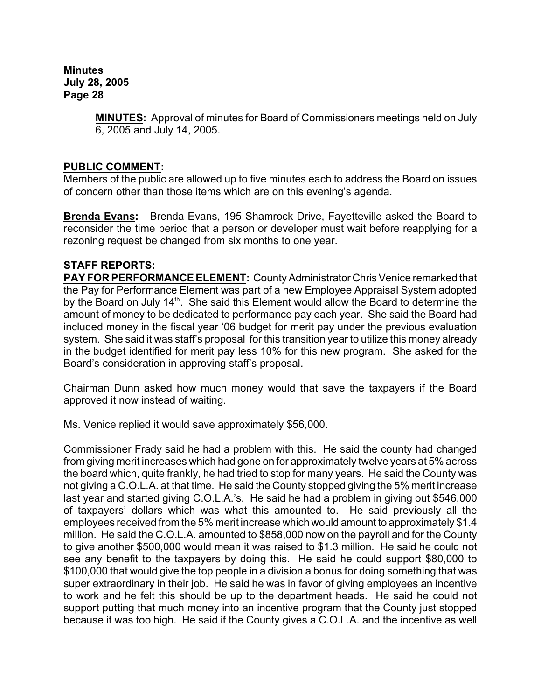> **MINUTES:** Approval of minutes for Board of Commissioners meetings held on July 6, 2005 and July 14, 2005.

## **PUBLIC COMMENT:**

Members of the public are allowed up to five minutes each to address the Board on issues of concern other than those items which are on this evening's agenda.

**Brenda Evans:** Brenda Evans, 195 Shamrock Drive, Fayetteville asked the Board to reconsider the time period that a person or developer must wait before reapplying for a rezoning request be changed from six months to one year.

## **STAFF REPORTS:**

**PAY FOR PERFORMANCE ELEMENT:** County Administrator Chris Venice remarked that the Pay for Performance Element was part of a new Employee Appraisal System adopted by the Board on July 14<sup>th</sup>. She said this Element would allow the Board to determine the amount of money to be dedicated to performance pay each year. She said the Board had included money in the fiscal year '06 budget for merit pay under the previous evaluation system. She said it was staff's proposal for this transition year to utilize this money already in the budget identified for merit pay less 10% for this new program. She asked for the Board's consideration in approving staff's proposal.

Chairman Dunn asked how much money would that save the taxpayers if the Board approved it now instead of waiting.

Ms. Venice replied it would save approximately \$56,000.

Commissioner Frady said he had a problem with this. He said the county had changed from giving merit increases which had gone on for approximately twelve years at 5% across the board which, quite frankly, he had tried to stop for many years. He said the County was not giving a C.O.L.A. at that time. He said the County stopped giving the 5% merit increase last year and started giving C.O.L.A.'s. He said he had a problem in giving out \$546,000 of taxpayers' dollars which was what this amounted to. He said previously all the employees received from the 5% merit increase which would amount to approximately \$1.4 million. He said the C.O.L.A. amounted to \$858,000 now on the payroll and for the County to give another \$500,000 would mean it was raised to \$1.3 million. He said he could not see any benefit to the taxpayers by doing this. He said he could support \$80,000 to \$100,000 that would give the top people in a division a bonus for doing something that was super extraordinary in their job. He said he was in favor of giving employees an incentive to work and he felt this should be up to the department heads. He said he could not support putting that much money into an incentive program that the County just stopped because it was too high. He said if the County gives a C.O.L.A. and the incentive as well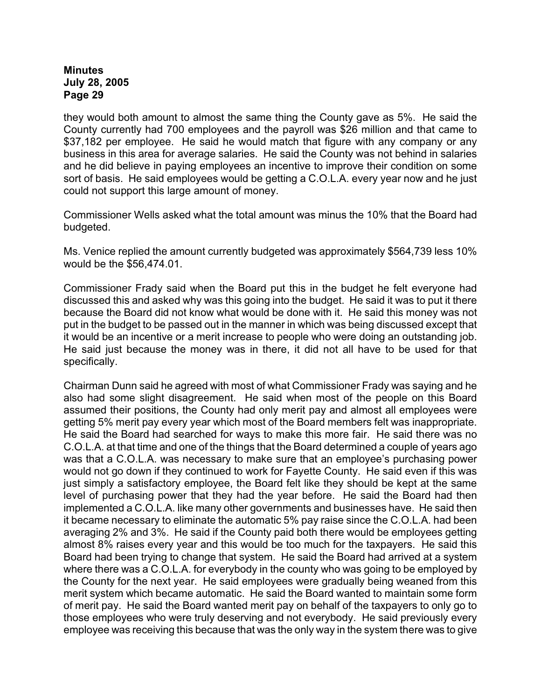they would both amount to almost the same thing the County gave as 5%. He said the County currently had 700 employees and the payroll was \$26 million and that came to \$37,182 per employee. He said he would match that figure with any company or any business in this area for average salaries. He said the County was not behind in salaries and he did believe in paying employees an incentive to improve their condition on some sort of basis. He said employees would be getting a C.O.L.A. every year now and he just could not support this large amount of money.

Commissioner Wells asked what the total amount was minus the 10% that the Board had budgeted.

Ms. Venice replied the amount currently budgeted was approximately \$564,739 less 10% would be the \$56,474.01.

Commissioner Frady said when the Board put this in the budget he felt everyone had discussed this and asked why was this going into the budget. He said it was to put it there because the Board did not know what would be done with it. He said this money was not put in the budget to be passed out in the manner in which was being discussed except that it would be an incentive or a merit increase to people who were doing an outstanding job. He said just because the money was in there, it did not all have to be used for that specifically.

Chairman Dunn said he agreed with most of what Commissioner Frady was saying and he also had some slight disagreement. He said when most of the people on this Board assumed their positions, the County had only merit pay and almost all employees were getting 5% merit pay every year which most of the Board members felt was inappropriate. He said the Board had searched for ways to make this more fair. He said there was no C.O.L.A. at that time and one of the things that the Board determined a couple of years ago was that a C.O.L.A. was necessary to make sure that an employee's purchasing power would not go down if they continued to work for Fayette County. He said even if this was just simply a satisfactory employee, the Board felt like they should be kept at the same level of purchasing power that they had the year before. He said the Board had then implemented a C.O.L.A. like many other governments and businesses have. He said then it became necessary to eliminate the automatic 5% pay raise since the C.O.L.A. had been averaging 2% and 3%. He said if the County paid both there would be employees getting almost 8% raises every year and this would be too much for the taxpayers. He said this Board had been trying to change that system. He said the Board had arrived at a system where there was a C.O.L.A. for everybody in the county who was going to be employed by the County for the next year. He said employees were gradually being weaned from this merit system which became automatic. He said the Board wanted to maintain some form of merit pay. He said the Board wanted merit pay on behalf of the taxpayers to only go to those employees who were truly deserving and not everybody. He said previously every employee was receiving this because that was the only way in the system there was to give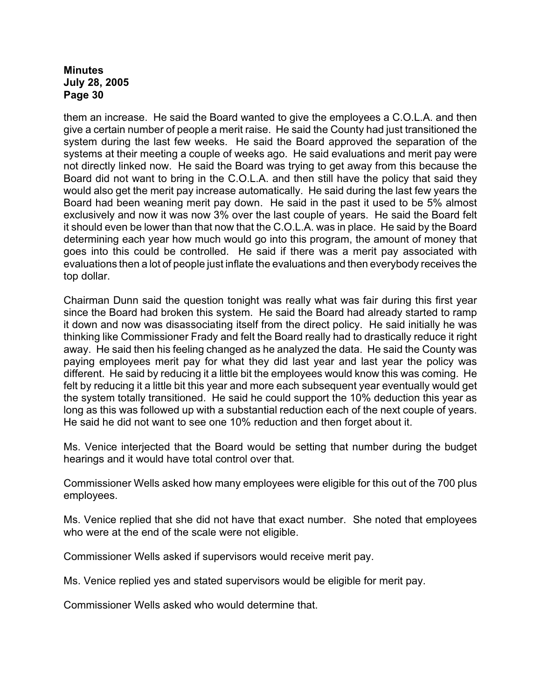them an increase. He said the Board wanted to give the employees a C.O.L.A. and then give a certain number of people a merit raise. He said the County had just transitioned the system during the last few weeks. He said the Board approved the separation of the systems at their meeting a couple of weeks ago. He said evaluations and merit pay were not directly linked now. He said the Board was trying to get away from this because the Board did not want to bring in the C.O.L.A. and then still have the policy that said they would also get the merit pay increase automatically. He said during the last few years the Board had been weaning merit pay down. He said in the past it used to be 5% almost exclusively and now it was now 3% over the last couple of years. He said the Board felt it should even be lower than that now that the C.O.L.A. was in place. He said by the Board determining each year how much would go into this program, the amount of money that goes into this could be controlled. He said if there was a merit pay associated with evaluations then a lot of people just inflate the evaluations and then everybody receives the top dollar.

Chairman Dunn said the question tonight was really what was fair during this first year since the Board had broken this system. He said the Board had already started to ramp it down and now was disassociating itself from the direct policy. He said initially he was thinking like Commissioner Frady and felt the Board really had to drastically reduce it right away. He said then his feeling changed as he analyzed the data. He said the County was paying employees merit pay for what they did last year and last year the policy was different. He said by reducing it a little bit the employees would know this was coming. He felt by reducing it a little bit this year and more each subsequent year eventually would get the system totally transitioned. He said he could support the 10% deduction this year as long as this was followed up with a substantial reduction each of the next couple of years. He said he did not want to see one 10% reduction and then forget about it.

Ms. Venice interjected that the Board would be setting that number during the budget hearings and it would have total control over that.

Commissioner Wells asked how many employees were eligible for this out of the 700 plus employees.

Ms. Venice replied that she did not have that exact number. She noted that employees who were at the end of the scale were not eligible.

Commissioner Wells asked if supervisors would receive merit pay.

Ms. Venice replied yes and stated supervisors would be eligible for merit pay.

Commissioner Wells asked who would determine that.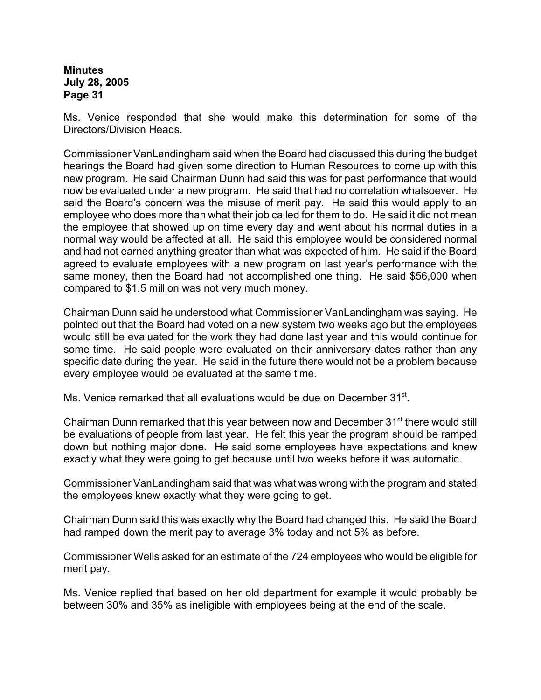Ms. Venice responded that she would make this determination for some of the Directors/Division Heads.

Commissioner VanLandingham said when the Board had discussed this during the budget hearings the Board had given some direction to Human Resources to come up with this new program. He said Chairman Dunn had said this was for past performance that would now be evaluated under a new program. He said that had no correlation whatsoever. He said the Board's concern was the misuse of merit pay. He said this would apply to an employee who does more than what their job called for them to do. He said it did not mean the employee that showed up on time every day and went about his normal duties in a normal way would be affected at all. He said this employee would be considered normal and had not earned anything greater than what was expected of him. He said if the Board agreed to evaluate employees with a new program on last year's performance with the same money, then the Board had not accomplished one thing. He said \$56,000 when compared to \$1.5 million was not very much money.

Chairman Dunn said he understood what Commissioner VanLandingham was saying. He pointed out that the Board had voted on a new system two weeks ago but the employees would still be evaluated for the work they had done last year and this would continue for some time. He said people were evaluated on their anniversary dates rather than any specific date during the year. He said in the future there would not be a problem because every employee would be evaluated at the same time.

Ms. Venice remarked that all evaluations would be due on December 31<sup>st</sup>.

Chairman Dunn remarked that this year between now and December 31<sup>st</sup> there would still be evaluations of people from last year. He felt this year the program should be ramped down but nothing major done. He said some employees have expectations and knew exactly what they were going to get because until two weeks before it was automatic.

Commissioner VanLandingham said that was what was wrong with the program and stated the employees knew exactly what they were going to get.

Chairman Dunn said this was exactly why the Board had changed this. He said the Board had ramped down the merit pay to average 3% today and not 5% as before.

Commissioner Wells asked for an estimate of the 724 employees who would be eligible for merit pay.

Ms. Venice replied that based on her old department for example it would probably be between 30% and 35% as ineligible with employees being at the end of the scale.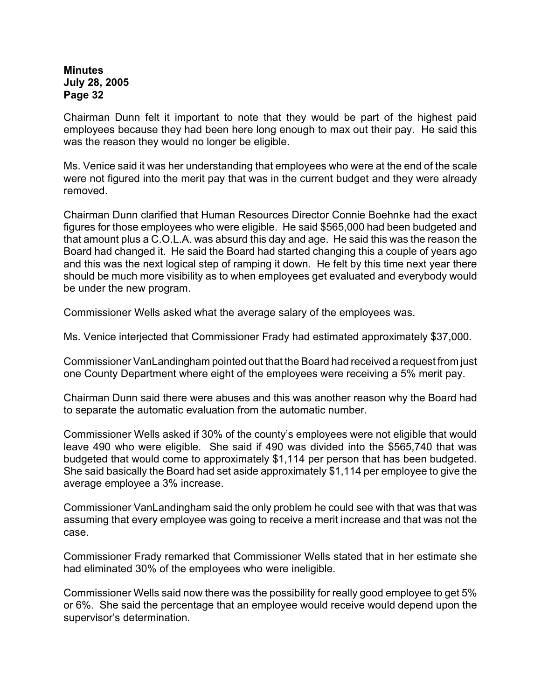Chairman Dunn felt it important to note that they would be part of the highest paid employees because they had been here long enough to max out their pay. He said this was the reason they would no longer be eligible.

Ms. Venice said it was her understanding that employees who were at the end of the scale were not figured into the merit pay that was in the current budget and they were already removed.

Chairman Dunn clarified that Human Resources Director Connie Boehnke had the exact figures for those employees who were eligible. He said \$565,000 had been budgeted and that amount plus a C.O.L.A. was absurd this day and age. He said this was the reason the Board had changed it. He said the Board had started changing this a couple of years ago and this was the next logical step of ramping it down. He felt by this time next year there should be much more visibility as to when employees get evaluated and everybody would be under the new program.

Commissioner Wells asked what the average salary of the employees was.

Ms. Venice interjected that Commissioner Frady had estimated approximately \$37,000.

Commissioner VanLandingham pointed out that the Board had received a request from just one County Department where eight of the employees were receiving a 5% merit pay.

Chairman Dunn said there were abuses and this was another reason why the Board had to separate the automatic evaluation from the automatic number.

Commissioner Wells asked if 30% of the county's employees were not eligible that would leave 490 who were eligible. She said if 490 was divided into the \$565,740 that was budgeted that would come to approximately \$1,114 per person that has been budgeted. She said basically the Board had set aside approximately \$1,114 per employee to give the average employee a 3% increase.

Commissioner VanLandingham said the only problem he could see with that was that was assuming that every employee was going to receive a merit increase and that was not the case.

Commissioner Frady remarked that Commissioner Wells stated that in her estimate she had eliminated 30% of the employees who were ineligible.

Commissioner Wells said now there was the possibility for really good employee to get 5% or 6%. She said the percentage that an employee would receive would depend upon the supervisor's determination.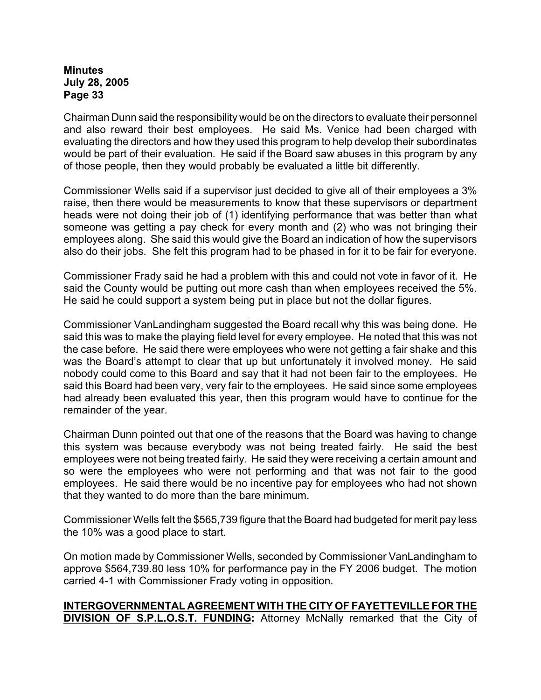Chairman Dunn said the responsibility would be on the directors to evaluate their personnel and also reward their best employees. He said Ms. Venice had been charged with evaluating the directors and how they used this program to help develop their subordinates would be part of their evaluation. He said if the Board saw abuses in this program by any of those people, then they would probably be evaluated a little bit differently.

Commissioner Wells said if a supervisor just decided to give all of their employees a 3% raise, then there would be measurements to know that these supervisors or department heads were not doing their job of (1) identifying performance that was better than what someone was getting a pay check for every month and (2) who was not bringing their employees along. She said this would give the Board an indication of how the supervisors also do their jobs. She felt this program had to be phased in for it to be fair for everyone.

Commissioner Frady said he had a problem with this and could not vote in favor of it. He said the County would be putting out more cash than when employees received the 5%. He said he could support a system being put in place but not the dollar figures.

Commissioner VanLandingham suggested the Board recall why this was being done. He said this was to make the playing field level for every employee. He noted that this was not the case before. He said there were employees who were not getting a fair shake and this was the Board's attempt to clear that up but unfortunately it involved money. He said nobody could come to this Board and say that it had not been fair to the employees. He said this Board had been very, very fair to the employees. He said since some employees had already been evaluated this year, then this program would have to continue for the remainder of the year.

Chairman Dunn pointed out that one of the reasons that the Board was having to change this system was because everybody was not being treated fairly. He said the best employees were not being treated fairly. He said they were receiving a certain amount and so were the employees who were not performing and that was not fair to the good employees. He said there would be no incentive pay for employees who had not shown that they wanted to do more than the bare minimum.

Commissioner Wells felt the \$565,739 figure that the Board had budgeted for merit pay less the 10% was a good place to start.

On motion made by Commissioner Wells, seconded by Commissioner VanLandingham to approve \$564,739.80 less 10% for performance pay in the FY 2006 budget. The motion carried 4-1 with Commissioner Frady voting in opposition.

# **INTERGOVERNMENTAL AGREEMENT WITH THE CITY OF FAYETTEVILLE FOR THE DIVISION OF S.P.L.O.S.T. FUNDING:** Attorney McNally remarked that the City of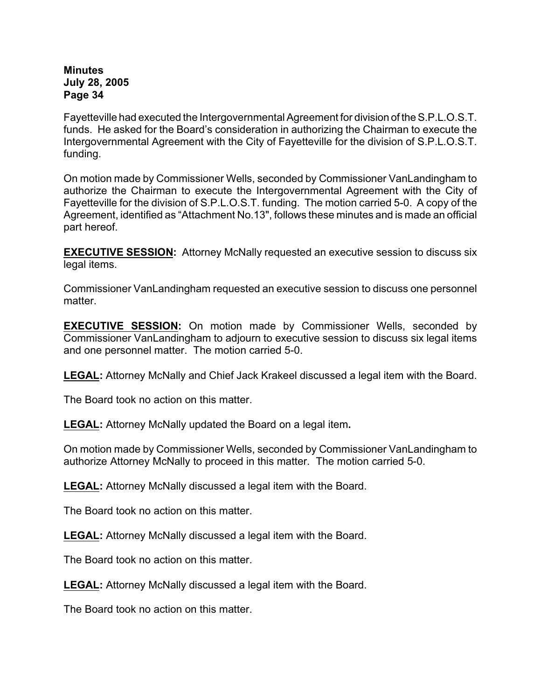Fayetteville had executed the Intergovernmental Agreement for division of the S.P.L.O.S.T. funds. He asked for the Board's consideration in authorizing the Chairman to execute the Intergovernmental Agreement with the City of Fayetteville for the division of S.P.L.O.S.T. funding.

On motion made by Commissioner Wells, seconded by Commissioner VanLandingham to authorize the Chairman to execute the Intergovernmental Agreement with the City of Fayetteville for the division of S.P.L.O.S.T. funding. The motion carried 5-0. A copy of the Agreement, identified as "Attachment No.13", follows these minutes and is made an official part hereof.

**EXECUTIVE SESSION:** Attorney McNally requested an executive session to discuss six legal items.

Commissioner VanLandingham requested an executive session to discuss one personnel matter.

**EXECUTIVE SESSION:** On motion made by Commissioner Wells, seconded by Commissioner VanLandingham to adjourn to executive session to discuss six legal items and one personnel matter. The motion carried 5-0.

**LEGAL:** Attorney McNally and Chief Jack Krakeel discussed a legal item with the Board.

The Board took no action on this matter.

**LEGAL:** Attorney McNally updated the Board on a legal item**.**

On motion made by Commissioner Wells, seconded by Commissioner VanLandingham to authorize Attorney McNally to proceed in this matter. The motion carried 5-0.

**LEGAL:** Attorney McNally discussed a legal item with the Board.

The Board took no action on this matter.

**LEGAL:** Attorney McNally discussed a legal item with the Board.

The Board took no action on this matter.

**LEGAL:** Attorney McNally discussed a legal item with the Board.

The Board took no action on this matter.